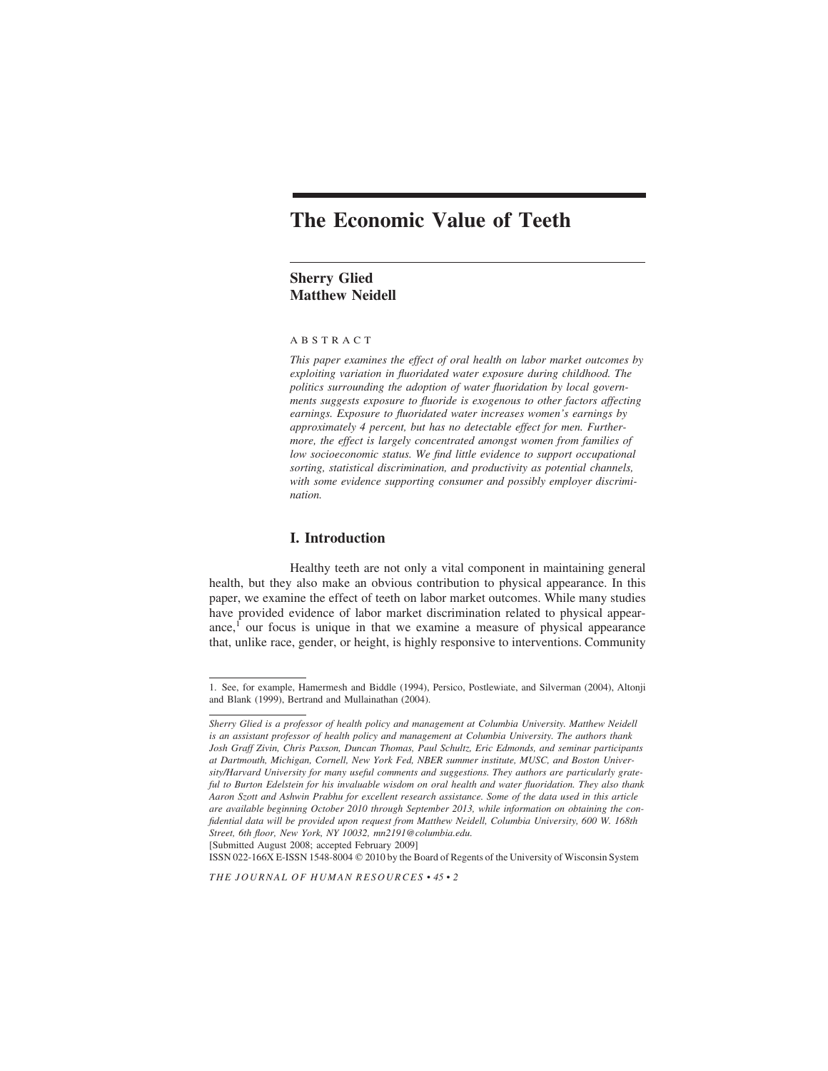# **The Economic Value of Teeth**

# **Sherry Glied Matthew Neidell**

#### ABSTRACT

*This paper examines the effect of oral health on labor market outcomes by exploiting variation in fluoridated water exposure during childhood. The politics surrounding the adoption of water fluoridation by local governments suggests exposure to fluoride is exogenous to other factors affecting earnings. Exposure to fluoridated water increases women's earnings by approximately 4 percent, but has no detectable effect for men. Furthermore, the effect is largely concentrated amongst women from families of low socioeconomic status. We find little evidence to support occupational sorting, statistical discrimination, and productivity as potential channels, with some evidence supporting consumer and possibly employer discrimination.*

## **I. Introduction**

Healthy teeth are not only a vital component in maintaining general health, but they also make an obvious contribution to physical appearance. In this paper, we examine the effect of teeth on labor market outcomes. While many studies have provided evidence of labor market discrimination related to physical appearance,<sup>1</sup> our focus is unique in that we examine a measure of physical appearance that, unlike race, gender, or height, is highly responsive to interventions. Community

[Submitted August 2008; accepted February 2009]

ISSN 022-166X E-ISSN 1548-8004  $\oslash$  2010 by the Board of Regents of the University of Wisconsin System

<sup>1.</sup> See, for example, Hamermesh and Biddle (1994), Persico, Postlewiate, and Silverman (2004), Altonji and Blank (1999), Bertrand and Mullainathan (2004).

*Sherry Glied is a professor of health policy and management at Columbia University. Matthew Neidell is an assistant professor of health policy and management at Columbia University. The authors thank Josh Graff Zivin, Chris Paxson, Duncan Thomas, Paul Schultz, Eric Edmonds, and seminar participants at Dartmouth, Michigan, Cornell, New York Fed, NBER summer institute, MUSC, and Boston University/Harvard University for many useful comments and suggestions. They authors are particularly grateful to Burton Edelstein for his invaluable wisdom on oral health and water fluoridation. They also thank Aaron Szott and Ashwin Prabhu for excellent research assistance. Some of the data used in this article are available beginning October 2010 through September 2013, while information on obtaining the confidential data will be provided upon request from Matthew Neidell, Columbia University, 600 W. 168th Street, 6th floor, New York, NY 10032, mn2191@columbia.edu.*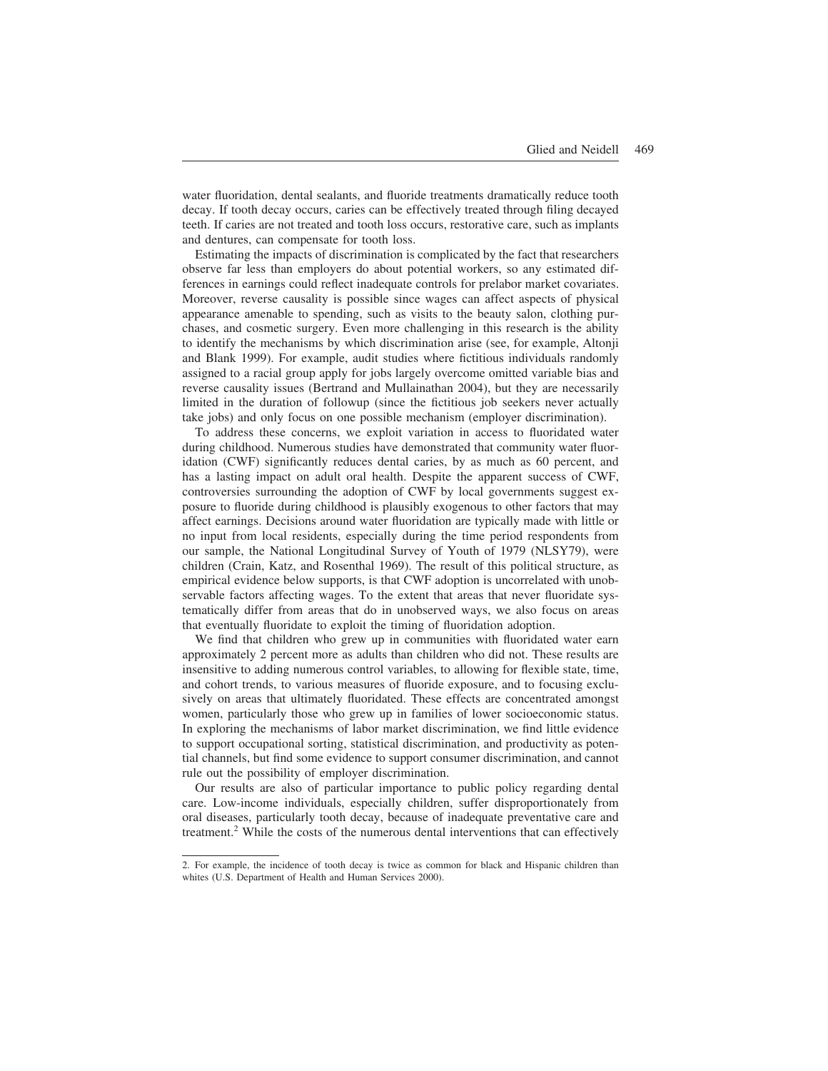water fluoridation, dental sealants, and fluoride treatments dramatically reduce tooth decay. If tooth decay occurs, caries can be effectively treated through filing decayed teeth. If caries are not treated and tooth loss occurs, restorative care, such as implants and dentures, can compensate for tooth loss.

Estimating the impacts of discrimination is complicated by the fact that researchers observe far less than employers do about potential workers, so any estimated differences in earnings could reflect inadequate controls for prelabor market covariates. Moreover, reverse causality is possible since wages can affect aspects of physical appearance amenable to spending, such as visits to the beauty salon, clothing purchases, and cosmetic surgery. Even more challenging in this research is the ability to identify the mechanisms by which discrimination arise (see, for example, Altonji and Blank 1999). For example, audit studies where fictitious individuals randomly assigned to a racial group apply for jobs largely overcome omitted variable bias and reverse causality issues (Bertrand and Mullainathan 2004), but they are necessarily limited in the duration of followup (since the fictitious job seekers never actually take jobs) and only focus on one possible mechanism (employer discrimination).

To address these concerns, we exploit variation in access to fluoridated water during childhood. Numerous studies have demonstrated that community water fluoridation (CWF) significantly reduces dental caries, by as much as 60 percent, and has a lasting impact on adult oral health. Despite the apparent success of CWF, controversies surrounding the adoption of CWF by local governments suggest exposure to fluoride during childhood is plausibly exogenous to other factors that may affect earnings. Decisions around water fluoridation are typically made with little or no input from local residents, especially during the time period respondents from our sample, the National Longitudinal Survey of Youth of 1979 (NLSY79), were children (Crain, Katz, and Rosenthal 1969). The result of this political structure, as empirical evidence below supports, is that CWF adoption is uncorrelated with unobservable factors affecting wages. To the extent that areas that never fluoridate systematically differ from areas that do in unobserved ways, we also focus on areas that eventually fluoridate to exploit the timing of fluoridation adoption.

We find that children who grew up in communities with fluoridated water earn approximately 2 percent more as adults than children who did not. These results are insensitive to adding numerous control variables, to allowing for flexible state, time, and cohort trends, to various measures of fluoride exposure, and to focusing exclusively on areas that ultimately fluoridated. These effects are concentrated amongst women, particularly those who grew up in families of lower socioeconomic status. In exploring the mechanisms of labor market discrimination, we find little evidence to support occupational sorting, statistical discrimination, and productivity as potential channels, but find some evidence to support consumer discrimination, and cannot rule out the possibility of employer discrimination.

Our results are also of particular importance to public policy regarding dental care. Low-income individuals, especially children, suffer disproportionately from oral diseases, particularly tooth decay, because of inadequate preventative care and treatment.<sup>2</sup> While the costs of the numerous dental interventions that can effectively

<sup>2.</sup> For example, the incidence of tooth decay is twice as common for black and Hispanic children than whites (U.S. Department of Health and Human Services 2000).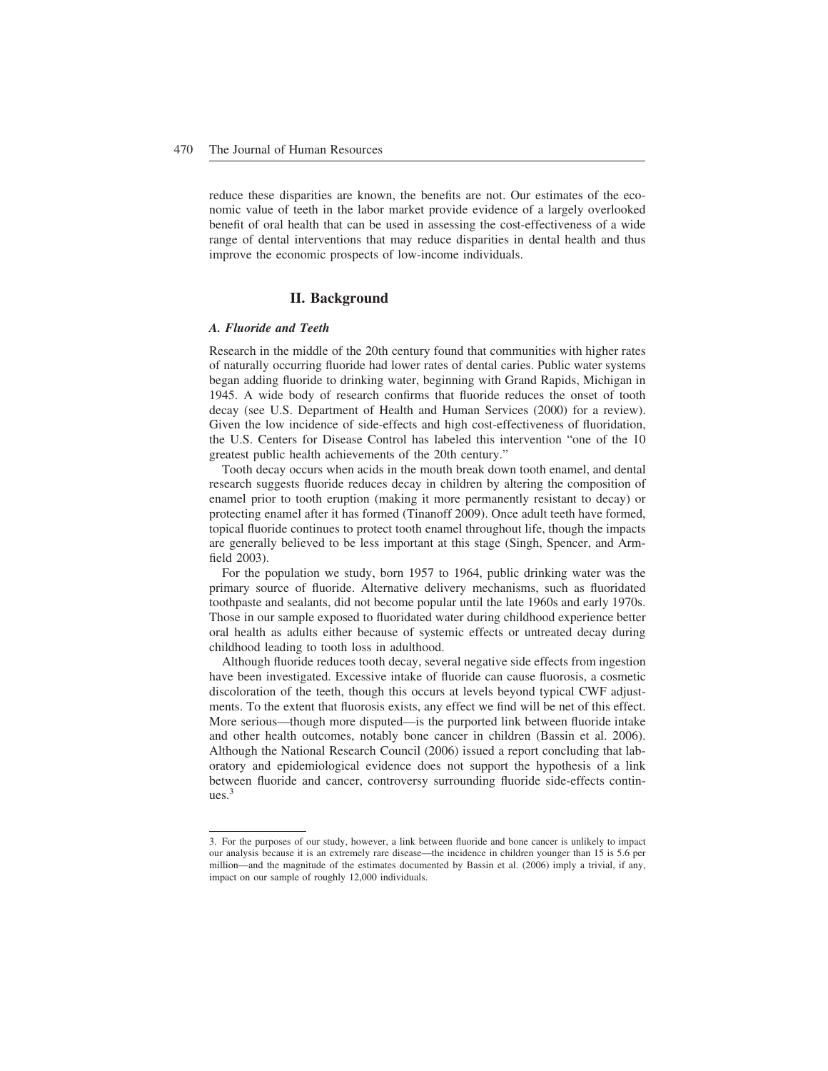reduce these disparities are known, the benefits are not. Our estimates of the economic value of teeth in the labor market provide evidence of a largely overlooked benefit of oral health that can be used in assessing the cost-effectiveness of a wide range of dental interventions that may reduce disparities in dental health and thus improve the economic prospects of low-income individuals.

## **II. Background**

#### *A. Fluoride and Teeth*

Research in the middle of the 20th century found that communities with higher rates of naturally occurring fluoride had lower rates of dental caries. Public water systems began adding fluoride to drinking water, beginning with Grand Rapids, Michigan in 1945. A wide body of research confirms that fluoride reduces the onset of tooth decay (see U.S. Department of Health and Human Services (2000) for a review). Given the low incidence of side-effects and high cost-effectiveness of fluoridation, the U.S. Centers for Disease Control has labeled this intervention "one of the 10 greatest public health achievements of the 20th century."

Tooth decay occurs when acids in the mouth break down tooth enamel, and dental research suggests fluoride reduces decay in children by altering the composition of enamel prior to tooth eruption (making it more permanently resistant to decay) or protecting enamel after it has formed (Tinanoff 2009). Once adult teeth have formed, topical fluoride continues to protect tooth enamel throughout life, though the impacts are generally believed to be less important at this stage (Singh, Spencer, and Armfield 2003).

For the population we study, born 1957 to 1964, public drinking water was the primary source of fluoride. Alternative delivery mechanisms, such as fluoridated toothpaste and sealants, did not become popular until the late 1960s and early 1970s. Those in our sample exposed to fluoridated water during childhood experience better oral health as adults either because of systemic effects or untreated decay during childhood leading to tooth loss in adulthood.

Although fluoride reduces tooth decay, several negative side effects from ingestion have been investigated. Excessive intake of fluoride can cause fluorosis, a cosmetic discoloration of the teeth, though this occurs at levels beyond typical CWF adjustments. To the extent that fluorosis exists, any effect we find will be net of this effect. More serious—though more disputed—is the purported link between fluoride intake and other health outcomes, notably bone cancer in children (Bassin et al. 2006). Although the National Research Council (2006) issued a report concluding that laboratory and epidemiological evidence does not support the hypothesis of a link between fluoride and cancer, controversy surrounding fluoride side-effects continues.3

<sup>3.</sup> For the purposes of our study, however, a link between fluoride and bone cancer is unlikely to impact our analysis because it is an extremely rare disease—the incidence in children younger than 15 is 5.6 per million—and the magnitude of the estimates documented by Bassin et al. (2006) imply a trivial, if any, impact on our sample of roughly 12,000 individuals.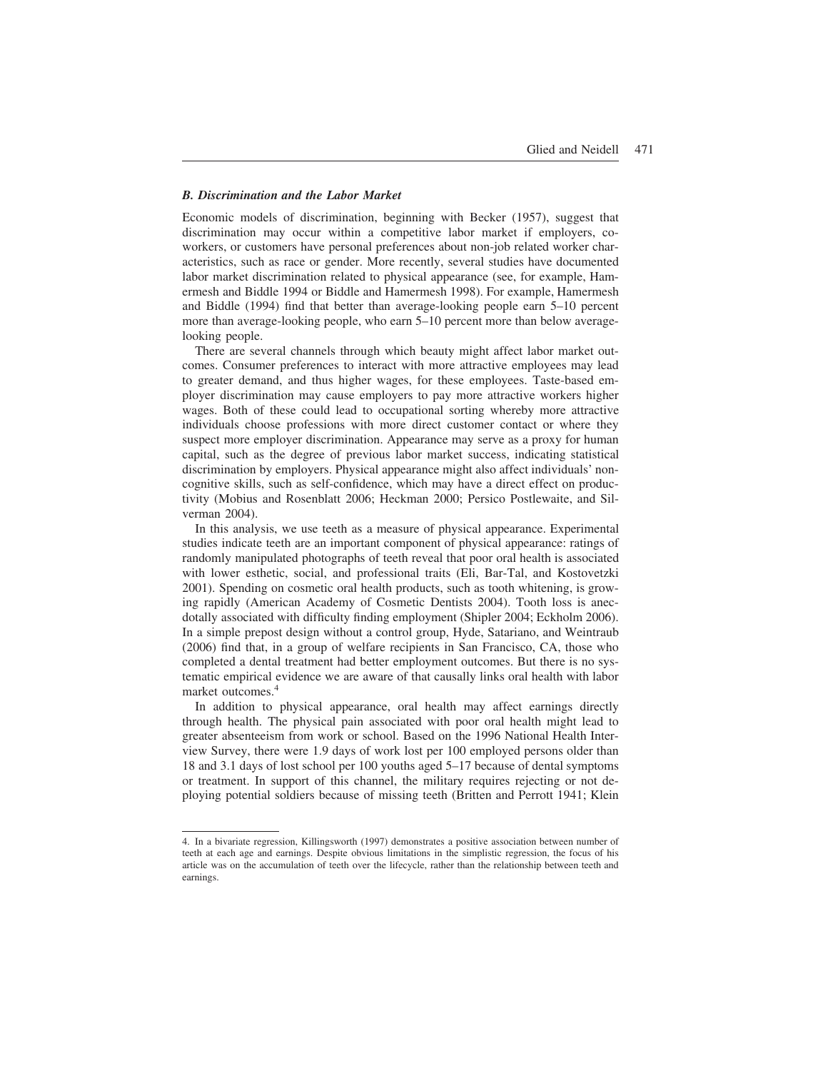#### *B. Discrimination and the Labor Market*

Economic models of discrimination, beginning with Becker (1957), suggest that discrimination may occur within a competitive labor market if employers, coworkers, or customers have personal preferences about non-job related worker characteristics, such as race or gender. More recently, several studies have documented labor market discrimination related to physical appearance (see, for example, Hamermesh and Biddle 1994 or Biddle and Hamermesh 1998). For example, Hamermesh and Biddle (1994) find that better than average-looking people earn 5–10 percent more than average-looking people, who earn 5–10 percent more than below averagelooking people.

There are several channels through which beauty might affect labor market outcomes. Consumer preferences to interact with more attractive employees may lead to greater demand, and thus higher wages, for these employees. Taste-based employer discrimination may cause employers to pay more attractive workers higher wages. Both of these could lead to occupational sorting whereby more attractive individuals choose professions with more direct customer contact or where they suspect more employer discrimination. Appearance may serve as a proxy for human capital, such as the degree of previous labor market success, indicating statistical discrimination by employers. Physical appearance might also affect individuals' noncognitive skills, such as self-confidence, which may have a direct effect on productivity (Mobius and Rosenblatt 2006; Heckman 2000; Persico Postlewaite, and Silverman 2004).

In this analysis, we use teeth as a measure of physical appearance. Experimental studies indicate teeth are an important component of physical appearance: ratings of randomly manipulated photographs of teeth reveal that poor oral health is associated with lower esthetic, social, and professional traits (Eli, Bar-Tal, and Kostovetzki 2001). Spending on cosmetic oral health products, such as tooth whitening, is growing rapidly (American Academy of Cosmetic Dentists 2004). Tooth loss is anecdotally associated with difficulty finding employment (Shipler 2004; Eckholm 2006). In a simple prepost design without a control group, Hyde, Satariano, and Weintraub (2006) find that, in a group of welfare recipients in San Francisco, CA, those who completed a dental treatment had better employment outcomes. But there is no systematic empirical evidence we are aware of that causally links oral health with labor market outcomes.4

In addition to physical appearance, oral health may affect earnings directly through health. The physical pain associated with poor oral health might lead to greater absenteeism from work or school. Based on the 1996 National Health Interview Survey, there were 1.9 days of work lost per 100 employed persons older than 18 and 3.1 days of lost school per 100 youths aged 5–17 because of dental symptoms or treatment. In support of this channel, the military requires rejecting or not deploying potential soldiers because of missing teeth (Britten and Perrott 1941; Klein

<sup>4.</sup> In a bivariate regression, Killingsworth (1997) demonstrates a positive association between number of teeth at each age and earnings. Despite obvious limitations in the simplistic regression, the focus of his article was on the accumulation of teeth over the lifecycle, rather than the relationship between teeth and earnings.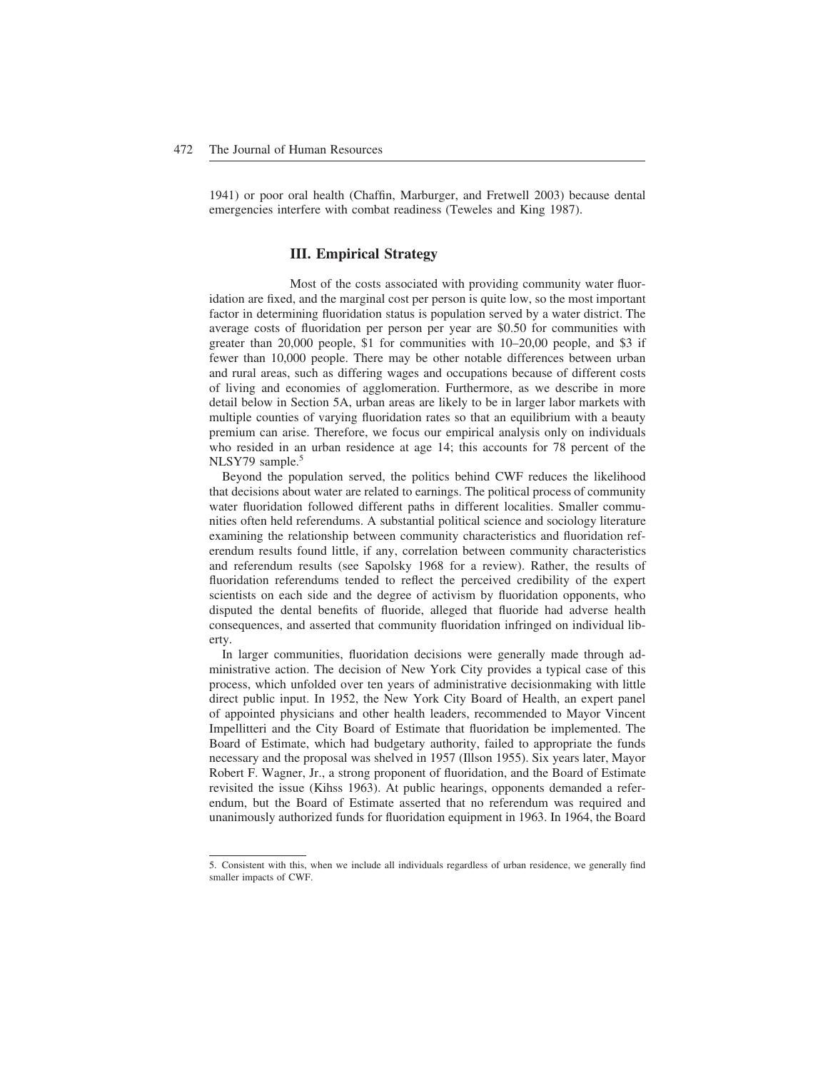1941) or poor oral health (Chaffin, Marburger, and Fretwell 2003) because dental emergencies interfere with combat readiness (Teweles and King 1987).

# **III. Empirical Strategy**

Most of the costs associated with providing community water fluoridation are fixed, and the marginal cost per person is quite low, so the most important factor in determining fluoridation status is population served by a water district. The average costs of fluoridation per person per year are \$0.50 for communities with greater than 20,000 people, \$1 for communities with 10–20,00 people, and \$3 if fewer than 10,000 people. There may be other notable differences between urban and rural areas, such as differing wages and occupations because of different costs of living and economies of agglomeration. Furthermore, as we describe in more detail below in Section 5A, urban areas are likely to be in larger labor markets with multiple counties of varying fluoridation rates so that an equilibrium with a beauty premium can arise. Therefore, we focus our empirical analysis only on individuals who resided in an urban residence at age 14; this accounts for 78 percent of the NLSY79 sample.<sup>5</sup>

Beyond the population served, the politics behind CWF reduces the likelihood that decisions about water are related to earnings. The political process of community water fluoridation followed different paths in different localities. Smaller communities often held referendums. A substantial political science and sociology literature examining the relationship between community characteristics and fluoridation referendum results found little, if any, correlation between community characteristics and referendum results (see Sapolsky 1968 for a review). Rather, the results of fluoridation referendums tended to reflect the perceived credibility of the expert scientists on each side and the degree of activism by fluoridation opponents, who disputed the dental benefits of fluoride, alleged that fluoride had adverse health consequences, and asserted that community fluoridation infringed on individual liberty.

In larger communities, fluoridation decisions were generally made through administrative action. The decision of New York City provides a typical case of this process, which unfolded over ten years of administrative decisionmaking with little direct public input. In 1952, the New York City Board of Health, an expert panel of appointed physicians and other health leaders, recommended to Mayor Vincent Impellitteri and the City Board of Estimate that fluoridation be implemented. The Board of Estimate, which had budgetary authority, failed to appropriate the funds necessary and the proposal was shelved in 1957 (Illson 1955). Six years later, Mayor Robert F. Wagner, Jr., a strong proponent of fluoridation, and the Board of Estimate revisited the issue (Kihss 1963). At public hearings, opponents demanded a referendum, but the Board of Estimate asserted that no referendum was required and unanimously authorized funds for fluoridation equipment in 1963. In 1964, the Board

<sup>5.</sup> Consistent with this, when we include all individuals regardless of urban residence, we generally find smaller impacts of CWF.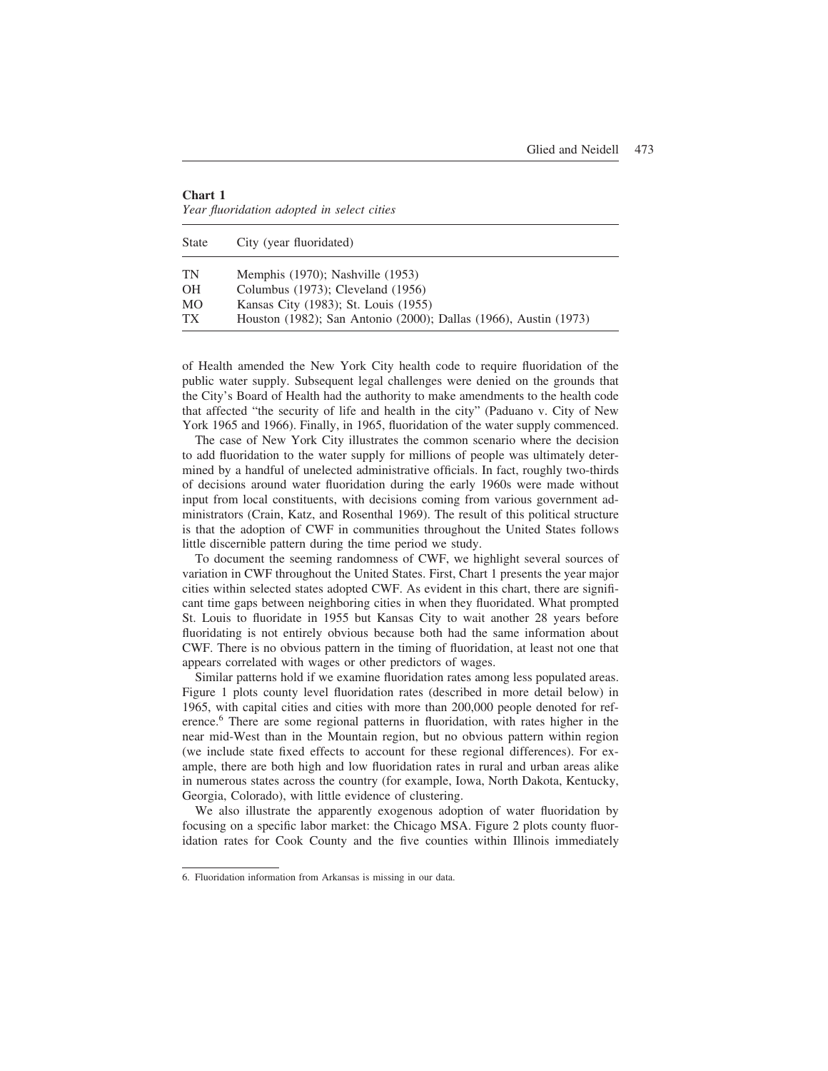| <b>Chart 1</b>                             |  |  |
|--------------------------------------------|--|--|
| Year fluoridation adopted in select cities |  |  |

| <b>State</b>    | City (year fluoridated)                                          |
|-----------------|------------------------------------------------------------------|
| TN              | Memphis $(1970)$ ; Nashville $(1953)$                            |
| <b>OH</b>       | Columbus (1973); Cleveland (1956)                                |
| MO              | Kansas City (1983); St. Louis (1955)                             |
| TX <sup>-</sup> | Houston (1982); San Antonio (2000); Dallas (1966), Austin (1973) |

of Health amended the New York City health code to require fluoridation of the public water supply. Subsequent legal challenges were denied on the grounds that the City's Board of Health had the authority to make amendments to the health code that affected "the security of life and health in the city" (Paduano v. City of New York 1965 and 1966). Finally, in 1965, fluoridation of the water supply commenced.

The case of New York City illustrates the common scenario where the decision to add fluoridation to the water supply for millions of people was ultimately determined by a handful of unelected administrative officials. In fact, roughly two-thirds of decisions around water fluoridation during the early 1960s were made without input from local constituents, with decisions coming from various government administrators (Crain, Katz, and Rosenthal 1969). The result of this political structure is that the adoption of CWF in communities throughout the United States follows little discernible pattern during the time period we study.

To document the seeming randomness of CWF, we highlight several sources of variation in CWF throughout the United States. First, Chart 1 presents the year major cities within selected states adopted CWF. As evident in this chart, there are significant time gaps between neighboring cities in when they fluoridated. What prompted St. Louis to fluoridate in 1955 but Kansas City to wait another 28 years before fluoridating is not entirely obvious because both had the same information about CWF. There is no obvious pattern in the timing of fluoridation, at least not one that appears correlated with wages or other predictors of wages.

Similar patterns hold if we examine fluoridation rates among less populated areas. Figure 1 plots county level fluoridation rates (described in more detail below) in 1965, with capital cities and cities with more than 200,000 people denoted for reference.<sup>6</sup> There are some regional patterns in fluoridation, with rates higher in the near mid-West than in the Mountain region, but no obvious pattern within region (we include state fixed effects to account for these regional differences). For example, there are both high and low fluoridation rates in rural and urban areas alike in numerous states across the country (for example, Iowa, North Dakota, Kentucky, Georgia, Colorado), with little evidence of clustering.

We also illustrate the apparently exogenous adoption of water fluoridation by focusing on a specific labor market: the Chicago MSA. Figure 2 plots county fluoridation rates for Cook County and the five counties within Illinois immediately

<sup>6.</sup> Fluoridation information from Arkansas is missing in our data.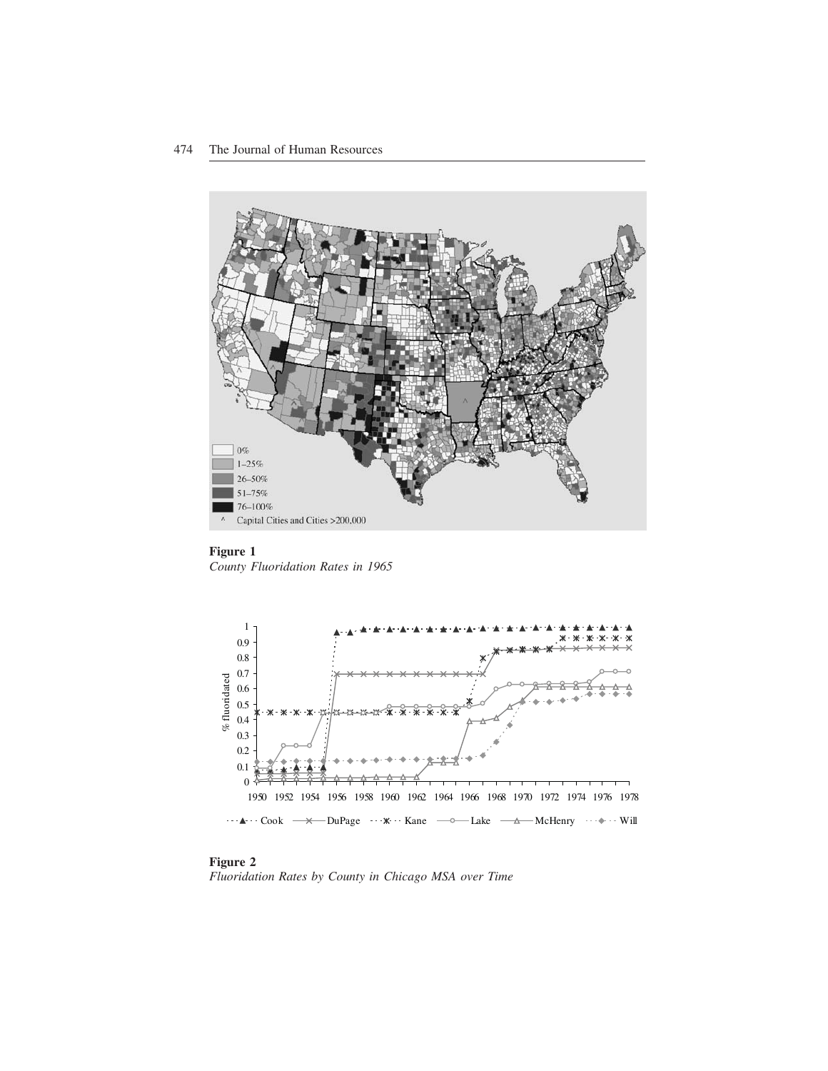

**Figure 1** *County Fluoridation Rates in 1965*



**Figure 2** *Fluoridation Rates by County in Chicago MSA over Time*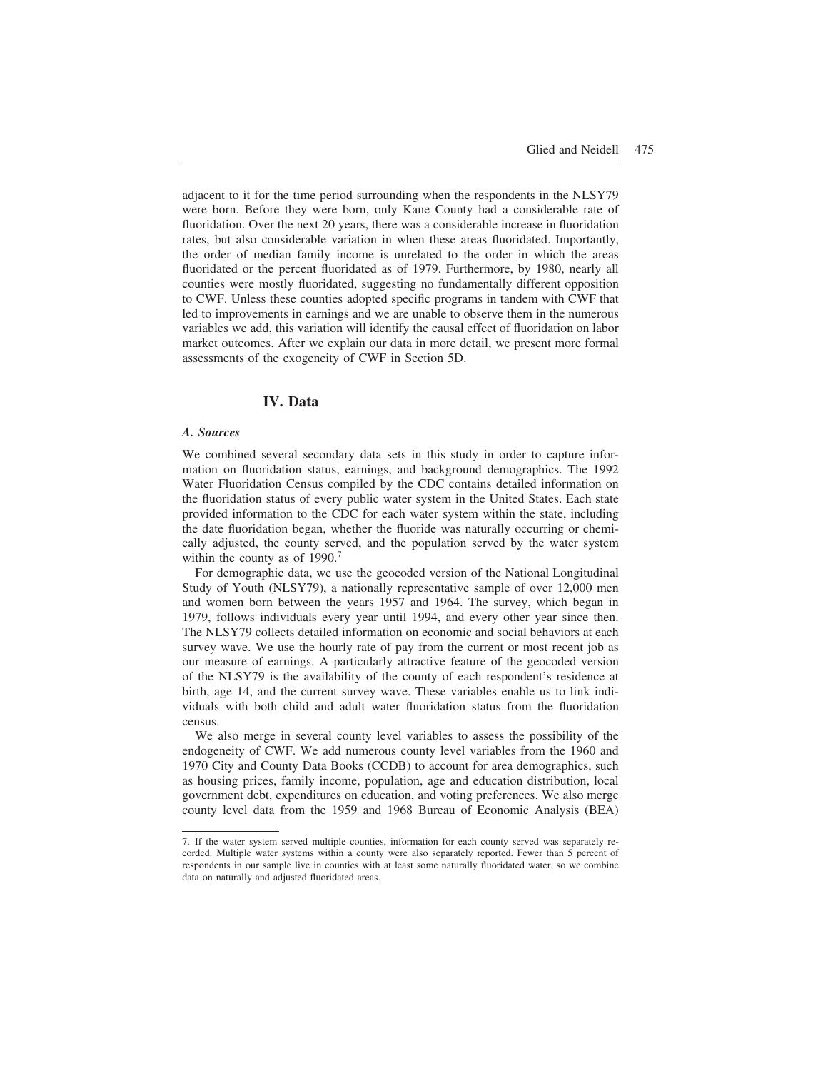adjacent to it for the time period surrounding when the respondents in the NLSY79 were born. Before they were born, only Kane County had a considerable rate of fluoridation. Over the next 20 years, there was a considerable increase in fluoridation rates, but also considerable variation in when these areas fluoridated. Importantly, the order of median family income is unrelated to the order in which the areas fluoridated or the percent fluoridated as of 1979. Furthermore, by 1980, nearly all counties were mostly fluoridated, suggesting no fundamentally different opposition to CWF. Unless these counties adopted specific programs in tandem with CWF that led to improvements in earnings and we are unable to observe them in the numerous variables we add, this variation will identify the causal effect of fluoridation on labor market outcomes. After we explain our data in more detail, we present more formal assessments of the exogeneity of CWF in Section 5D.

## **IV. Data**

## *A. Sources*

We combined several secondary data sets in this study in order to capture information on fluoridation status, earnings, and background demographics. The 1992 Water Fluoridation Census compiled by the CDC contains detailed information on the fluoridation status of every public water system in the United States. Each state provided information to the CDC for each water system within the state, including the date fluoridation began, whether the fluoride was naturally occurring or chemically adjusted, the county served, and the population served by the water system within the county as of 1990.<sup>7</sup>

For demographic data, we use the geocoded version of the National Longitudinal Study of Youth (NLSY79), a nationally representative sample of over 12,000 men and women born between the years 1957 and 1964. The survey, which began in 1979, follows individuals every year until 1994, and every other year since then. The NLSY79 collects detailed information on economic and social behaviors at each survey wave. We use the hourly rate of pay from the current or most recent job as our measure of earnings. A particularly attractive feature of the geocoded version of the NLSY79 is the availability of the county of each respondent's residence at birth, age 14, and the current survey wave. These variables enable us to link individuals with both child and adult water fluoridation status from the fluoridation census.

We also merge in several county level variables to assess the possibility of the endogeneity of CWF. We add numerous county level variables from the 1960 and 1970 City and County Data Books (CCDB) to account for area demographics, such as housing prices, family income, population, age and education distribution, local government debt, expenditures on education, and voting preferences. We also merge county level data from the 1959 and 1968 Bureau of Economic Analysis (BEA)

<sup>7.</sup> If the water system served multiple counties, information for each county served was separately recorded. Multiple water systems within a county were also separately reported. Fewer than 5 percent of respondents in our sample live in counties with at least some naturally fluoridated water, so we combine data on naturally and adjusted fluoridated areas.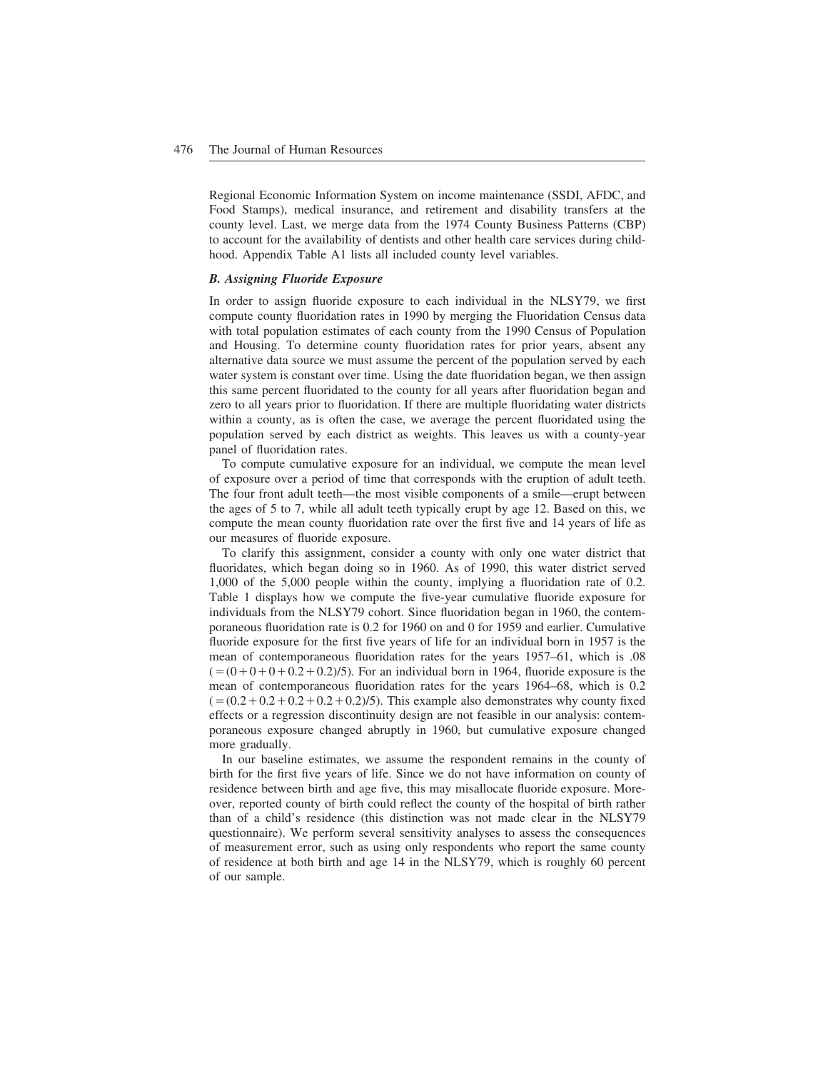Regional Economic Information System on income maintenance (SSDI, AFDC, and Food Stamps), medical insurance, and retirement and disability transfers at the county level. Last, we merge data from the 1974 County Business Patterns (CBP) to account for the availability of dentists and other health care services during childhood. Appendix Table A1 lists all included county level variables.

#### *B. Assigning Fluoride Exposure*

In order to assign fluoride exposure to each individual in the NLSY79, we first compute county fluoridation rates in 1990 by merging the Fluoridation Census data with total population estimates of each county from the 1990 Census of Population and Housing. To determine county fluoridation rates for prior years, absent any alternative data source we must assume the percent of the population served by each water system is constant over time. Using the date fluoridation began, we then assign this same percent fluoridated to the county for all years after fluoridation began and zero to all years prior to fluoridation. If there are multiple fluoridating water districts within a county, as is often the case, we average the percent fluoridated using the population served by each district as weights. This leaves us with a county-year panel of fluoridation rates.

To compute cumulative exposure for an individual, we compute the mean level of exposure over a period of time that corresponds with the eruption of adult teeth. The four front adult teeth—the most visible components of a smile—erupt between the ages of 5 to 7, while all adult teeth typically erupt by age 12. Based on this, we compute the mean county fluoridation rate over the first five and 14 years of life as our measures of fluoride exposure.

To clarify this assignment, consider a county with only one water district that fluoridates, which began doing so in 1960. As of 1990, this water district served 1,000 of the 5,000 people within the county, implying a fluoridation rate of 0.2. Table 1 displays how we compute the five-year cumulative fluoride exposure for individuals from the NLSY79 cohort. Since fluoridation began in 1960, the contemporaneous fluoridation rate is 0.2 for 1960 on and 0 for 1959 and earlier. Cumulative fluoride exposure for the first five years of life for an individual born in 1957 is the mean of contemporaneous fluoridation rates for the years 1957–61, which is .08  $(=(0+0+0+0.2+0.2)/5)$ . For an individual born in 1964, fluoride exposure is the mean of contemporaneous fluoridation rates for the years 1964–68, which is 0.2  $(=(0.2+0.2+0.2+0.2+0.2)/5)$ . This example also demonstrates why county fixed effects or a regression discontinuity design are not feasible in our analysis: contemporaneous exposure changed abruptly in 1960, but cumulative exposure changed more gradually.

In our baseline estimates, we assume the respondent remains in the county of birth for the first five years of life. Since we do not have information on county of residence between birth and age five, this may misallocate fluoride exposure. Moreover, reported county of birth could reflect the county of the hospital of birth rather than of a child's residence (this distinction was not made clear in the NLSY79 questionnaire). We perform several sensitivity analyses to assess the consequences of measurement error, such as using only respondents who report the same county of residence at both birth and age 14 in the NLSY79, which is roughly 60 percent of our sample.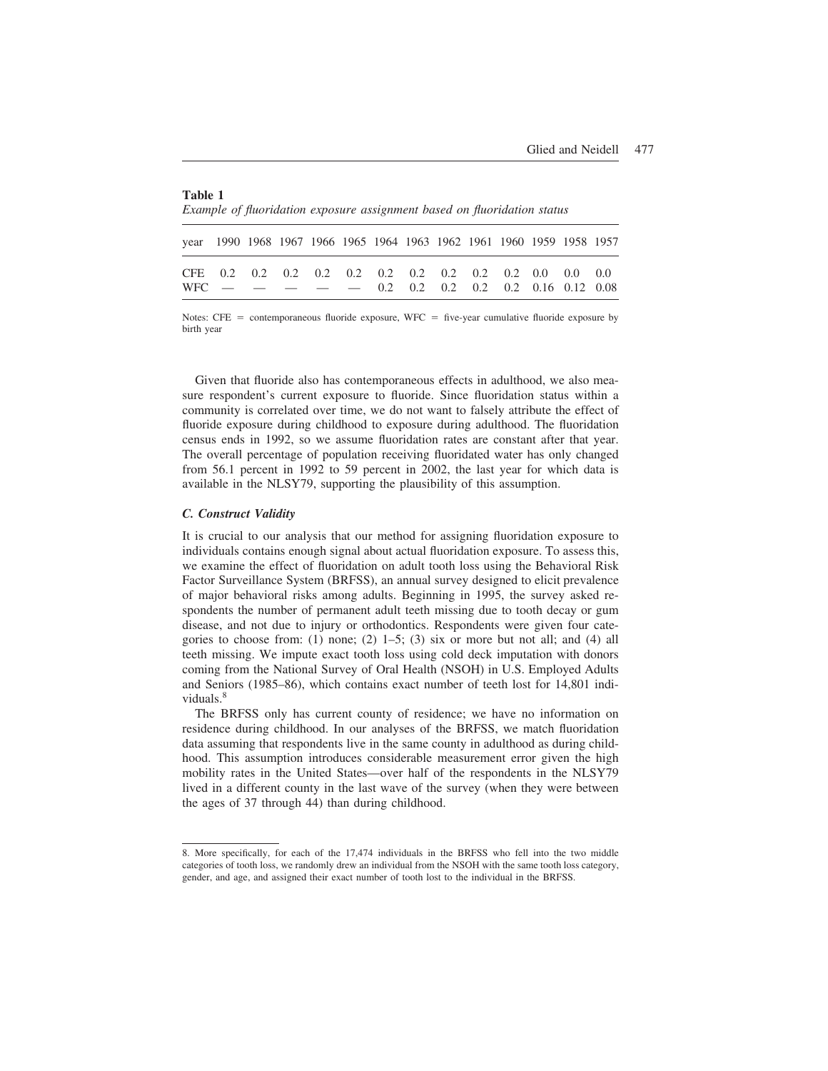| Table 1 |                                                                          |  |  |  |
|---------|--------------------------------------------------------------------------|--|--|--|
|         | Example of fluoridation exposure assignment based on fluoridation status |  |  |  |

| year 1990 1968 1967 1966 1965 1964 1963 1962 1961 1960 1959 1958 1957 |  |  |  |  |  |  |  |
|-----------------------------------------------------------------------|--|--|--|--|--|--|--|
| $WFC$ - - - - 0.2 0.2 0.2 0.2 0.2 0.16 0.12 0.08                      |  |  |  |  |  |  |  |

Notes:  $CFE = \text{contemporaneous fluoride exposure}, WFC = \text{five-year cumulative fluoride exposure by}$ birth year

Given that fluoride also has contemporaneous effects in adulthood, we also measure respondent's current exposure to fluoride. Since fluoridation status within a community is correlated over time, we do not want to falsely attribute the effect of fluoride exposure during childhood to exposure during adulthood. The fluoridation census ends in 1992, so we assume fluoridation rates are constant after that year. The overall percentage of population receiving fluoridated water has only changed from 56.1 percent in 1992 to 59 percent in 2002, the last year for which data is available in the NLSY79, supporting the plausibility of this assumption.

#### *C. Construct Validity*

It is crucial to our analysis that our method for assigning fluoridation exposure to individuals contains enough signal about actual fluoridation exposure. To assess this, we examine the effect of fluoridation on adult tooth loss using the Behavioral Risk Factor Surveillance System (BRFSS), an annual survey designed to elicit prevalence of major behavioral risks among adults. Beginning in 1995, the survey asked respondents the number of permanent adult teeth missing due to tooth decay or gum disease, and not due to injury or orthodontics. Respondents were given four categories to choose from: (1) none; (2)  $1-5$ ; (3) six or more but not all; and (4) all teeth missing. We impute exact tooth loss using cold deck imputation with donors coming from the National Survey of Oral Health (NSOH) in U.S. Employed Adults and Seniors (1985–86), which contains exact number of teeth lost for 14,801 individuals.<sup>8</sup>

The BRFSS only has current county of residence; we have no information on residence during childhood. In our analyses of the BRFSS, we match fluoridation data assuming that respondents live in the same county in adulthood as during childhood. This assumption introduces considerable measurement error given the high mobility rates in the United States—over half of the respondents in the NLSY79 lived in a different county in the last wave of the survey (when they were between the ages of 37 through 44) than during childhood.

<sup>8.</sup> More specifically, for each of the 17,474 individuals in the BRFSS who fell into the two middle categories of tooth loss, we randomly drew an individual from the NSOH with the same tooth loss category, gender, and age, and assigned their exact number of tooth lost to the individual in the BRFSS.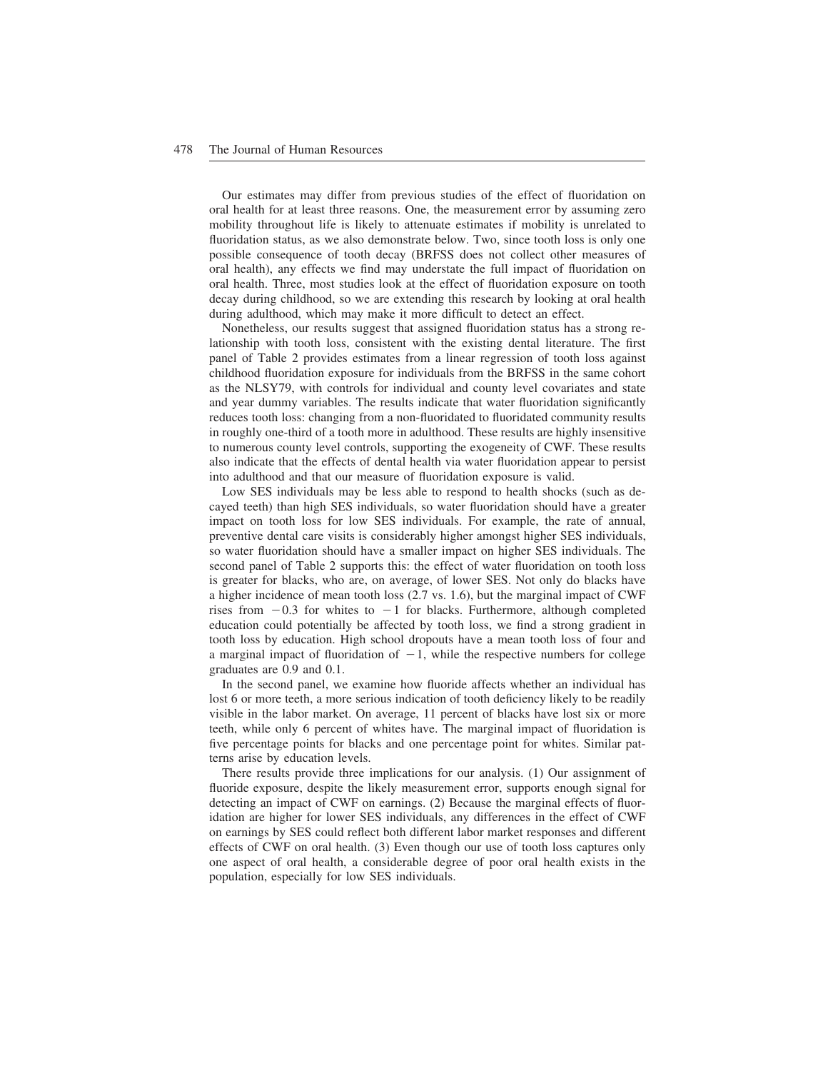Our estimates may differ from previous studies of the effect of fluoridation on oral health for at least three reasons. One, the measurement error by assuming zero mobility throughout life is likely to attenuate estimates if mobility is unrelated to fluoridation status, as we also demonstrate below. Two, since tooth loss is only one possible consequence of tooth decay (BRFSS does not collect other measures of oral health), any effects we find may understate the full impact of fluoridation on oral health. Three, most studies look at the effect of fluoridation exposure on tooth decay during childhood, so we are extending this research by looking at oral health during adulthood, which may make it more difficult to detect an effect.

Nonetheless, our results suggest that assigned fluoridation status has a strong relationship with tooth loss, consistent with the existing dental literature. The first panel of Table 2 provides estimates from a linear regression of tooth loss against childhood fluoridation exposure for individuals from the BRFSS in the same cohort as the NLSY79, with controls for individual and county level covariates and state and year dummy variables. The results indicate that water fluoridation significantly reduces tooth loss: changing from a non-fluoridated to fluoridated community results in roughly one-third of a tooth more in adulthood. These results are highly insensitive to numerous county level controls, supporting the exogeneity of CWF. These results also indicate that the effects of dental health via water fluoridation appear to persist into adulthood and that our measure of fluoridation exposure is valid.

Low SES individuals may be less able to respond to health shocks (such as decayed teeth) than high SES individuals, so water fluoridation should have a greater impact on tooth loss for low SES individuals. For example, the rate of annual, preventive dental care visits is considerably higher amongst higher SES individuals, so water fluoridation should have a smaller impact on higher SES individuals. The second panel of Table 2 supports this: the effect of water fluoridation on tooth loss is greater for blacks, who are, on average, of lower SES. Not only do blacks have a higher incidence of mean tooth loss (2.7 vs. 1.6), but the marginal impact of CWF rises from  $-0.3$  for whites to  $-1$  for blacks. Furthermore, although completed education could potentially be affected by tooth loss, we find a strong gradient in tooth loss by education. High school dropouts have a mean tooth loss of four and a marginal impact of fluoridation of  $-1$ , while the respective numbers for college graduates are 0.9 and 0.1.

In the second panel, we examine how fluoride affects whether an individual has lost 6 or more teeth, a more serious indication of tooth deficiency likely to be readily visible in the labor market. On average, 11 percent of blacks have lost six or more teeth, while only 6 percent of whites have. The marginal impact of fluoridation is five percentage points for blacks and one percentage point for whites. Similar patterns arise by education levels.

There results provide three implications for our analysis. (1) Our assignment of fluoride exposure, despite the likely measurement error, supports enough signal for detecting an impact of CWF on earnings. (2) Because the marginal effects of fluoridation are higher for lower SES individuals, any differences in the effect of CWF on earnings by SES could reflect both different labor market responses and different effects of CWF on oral health. (3) Even though our use of tooth loss captures only one aspect of oral health, a considerable degree of poor oral health exists in the population, especially for low SES individuals.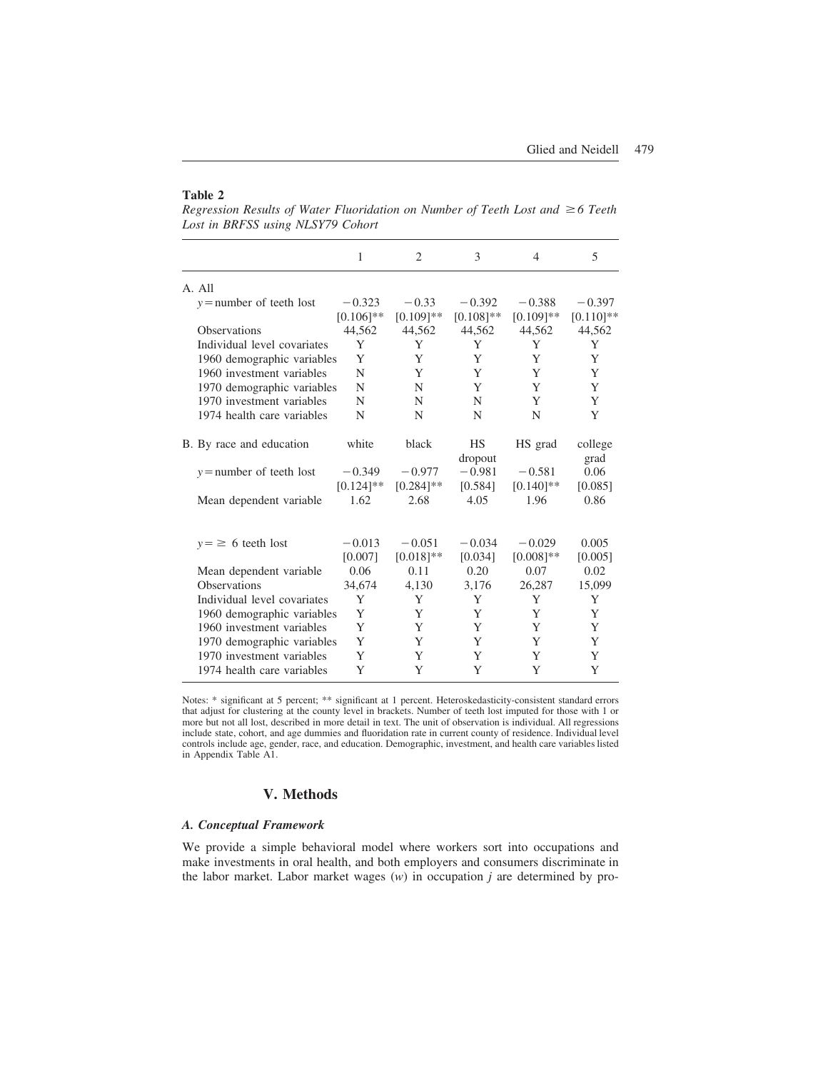#### **Table 2**

*Regression Results of Water Fluoridation on Number of Teeth Lost and* ≥6 Teeth *Lost in BRFSS using NLSY79 Cohort*

|                             | 1            | 2            | 3                    | $\overline{4}$ | 5               |
|-----------------------------|--------------|--------------|----------------------|----------------|-----------------|
| A. All                      |              |              |                      |                |                 |
| $y$ = number of teeth lost  | $-0.323$     | $-0.33$      | $-0.392$             | $-0.388$       | $-0.397$        |
|                             | $[0.106]$ ** | $[0.109]$ ** | $[0.108]$ **         | $[0.109]**$    | $[0.110]$ **    |
| <b>Observations</b>         | 44,562       | 44,562       | 44,562               | 44,562         | 44,562          |
| Individual level covariates | Y            | Y            | Y                    | Y              | Y               |
| 1960 demographic variables  | Y            | Y            | Y                    | Y              | Y               |
| 1960 investment variables   | N            | Y            | Y                    | Y              | Y               |
| 1970 demographic variables  | N            | N            | Y                    | Y              | Y               |
| 1970 investment variables   | N            | N            | N                    | Y              | Y               |
| 1974 health care variables  | N            | N            | N                    | N              | Y               |
| B. By race and education    | white        | black        | <b>HS</b><br>dropout | HS grad        | college<br>grad |
| $y =$ number of teeth lost  | $-0.349$     | $-0.977$     | $-0.981$             | $-0.581$       | 0.06            |
|                             | $[0.124]$ ** | $[0.284]$ ** | [0.584]              | $[0.140]$ **   | [0.085]         |
| Mean dependent variable     | 1.62         | 2.68         | 4.05                 | 1.96           | 0.86            |
| $y = \ge 6$ teeth lost      | $-0.013$     | $-0.051$     | $-0.034$             | $-0.029$       | 0.005           |
|                             | [0.007]      | $[0.018]**$  | [0.034]              | $[0.008]$ **   | [0.005]         |
| Mean dependent variable     | 0.06         | 0.11         | 0.20                 | 0.07           | 0.02            |
| <b>Observations</b>         | 34,674       | 4.130        | 3.176                | 26,287         | 15,099          |
| Individual level covariates | Y            | Y            | Y                    | Y              | Y               |
| 1960 demographic variables  | Y            | Y            | Y                    | Y              | Y               |
| 1960 investment variables   | Y            | Y            | Y                    | Y              | Y               |
| 1970 demographic variables  | Y            | Y            | Y                    | Y              | Y               |
| 1970 investment variables   | Y            | Y            | Y                    | Y              | Y               |
| 1974 health care variables  | Y            | Y            | Y                    | Y              | Y               |

Notes: \* significant at 5 percent; \*\* significant at 1 percent. Heteroskedasticity-consistent standard errors that adjust for clustering at the county level in brackets. Number of teeth lost imputed for those with 1 or more but not all lost, described in more detail in text. The unit of observation is individual. All regressions include state, cohort, and age dummies and fluoridation rate in current county of residence. Individual level controls include age, gender, race, and education. Demographic, investment, and health care variables listed in Appendix Table A1.

# **V. Methods**

# *A. Conceptual Framework*

We provide a simple behavioral model where workers sort into occupations and make investments in oral health, and both employers and consumers discriminate in the labor market. Labor market wages (*w*) in occupation *j* are determined by pro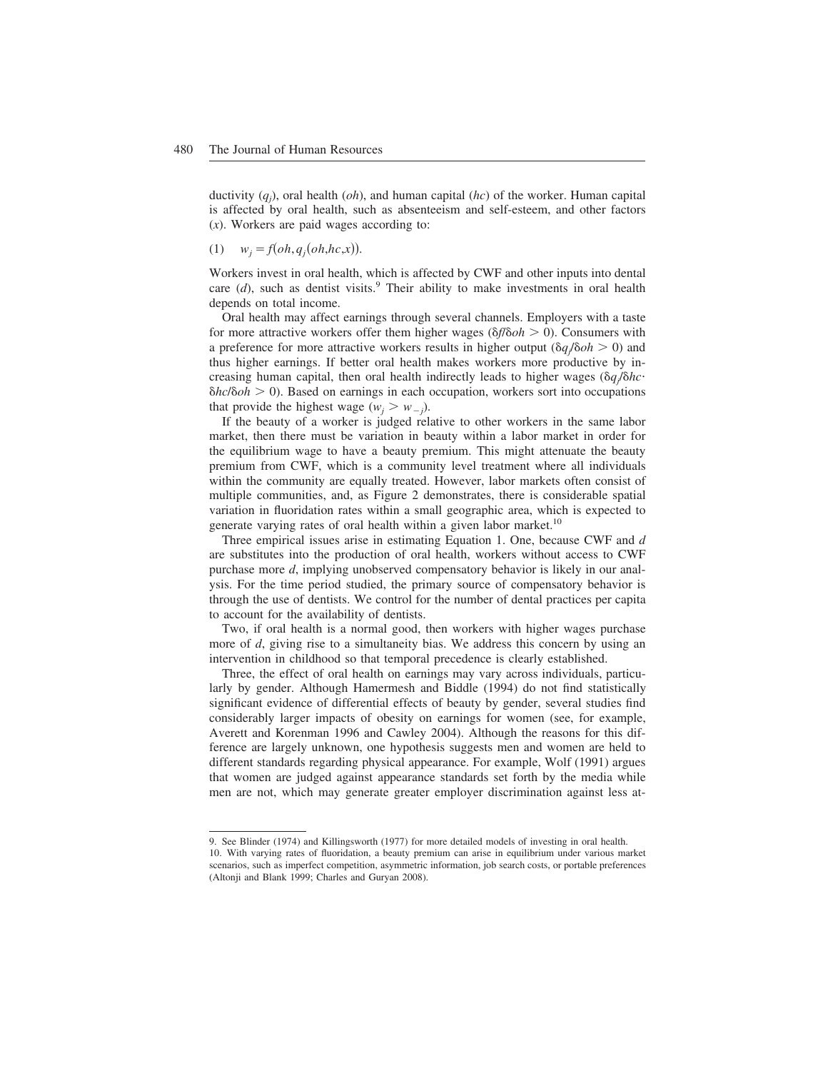ductivity (*qj* ), oral health (*oh*), and human capital (*hc*) of the worker. Human capital is affected by oral health, such as absenteeism and self-esteem, and other factors (*x*). Workers are paid wages according to:

$$
(1) \t w_j = f(oh, q_j(oh, hc, x)).
$$

Workers invest in oral health, which is affected by CWF and other inputs into dental care  $(d)$ , such as dentist visits.<sup>9</sup> Their ability to make investments in oral health depends on total income.

Oral health may affect earnings through several channels. Employers with a taste for more attractive workers offer them higher wages  $(\delta f/\delta oh > 0)$ . Consumers with a preference for more attractive workers results in higher output  $(\delta q/\delta o h > 0)$  and thus higher earnings. If better oral health makes workers more productive by increasing human capital, then oral health indirectly leads to higher wages ( $\delta q/\delta h c$ · *δhc/δoh* > 0). Based on earnings in each occupation, workers sort into occupations that provide the highest wage  $(w_j > w_{-j})$ .

If the beauty of a worker is judged relative to other workers in the same labor market, then there must be variation in beauty within a labor market in order for the equilibrium wage to have a beauty premium. This might attenuate the beauty premium from CWF, which is a community level treatment where all individuals within the community are equally treated. However, labor markets often consist of multiple communities, and, as Figure 2 demonstrates, there is considerable spatial variation in fluoridation rates within a small geographic area, which is expected to generate varying rates of oral health within a given labor market.<sup>10</sup>

Three empirical issues arise in estimating Equation 1. One, because CWF and *d* are substitutes into the production of oral health, workers without access to CWF purchase more *d*, implying unobserved compensatory behavior is likely in our analysis. For the time period studied, the primary source of compensatory behavior is through the use of dentists. We control for the number of dental practices per capita to account for the availability of dentists.

Two, if oral health is a normal good, then workers with higher wages purchase more of *d*, giving rise to a simultaneity bias. We address this concern by using an intervention in childhood so that temporal precedence is clearly established.

Three, the effect of oral health on earnings may vary across individuals, particularly by gender. Although Hamermesh and Biddle (1994) do not find statistically significant evidence of differential effects of beauty by gender, several studies find considerably larger impacts of obesity on earnings for women (see, for example, Averett and Korenman 1996 and Cawley 2004). Although the reasons for this difference are largely unknown, one hypothesis suggests men and women are held to different standards regarding physical appearance. For example, Wolf (1991) argues that women are judged against appearance standards set forth by the media while men are not, which may generate greater employer discrimination against less at-

<sup>9.</sup> See Blinder (1974) and Killingsworth (1977) for more detailed models of investing in oral health.

<sup>10.</sup> With varying rates of fluoridation, a beauty premium can arise in equilibrium under various market scenarios, such as imperfect competition, asymmetric information, job search costs, or portable preferences (Altonji and Blank 1999; Charles and Guryan 2008).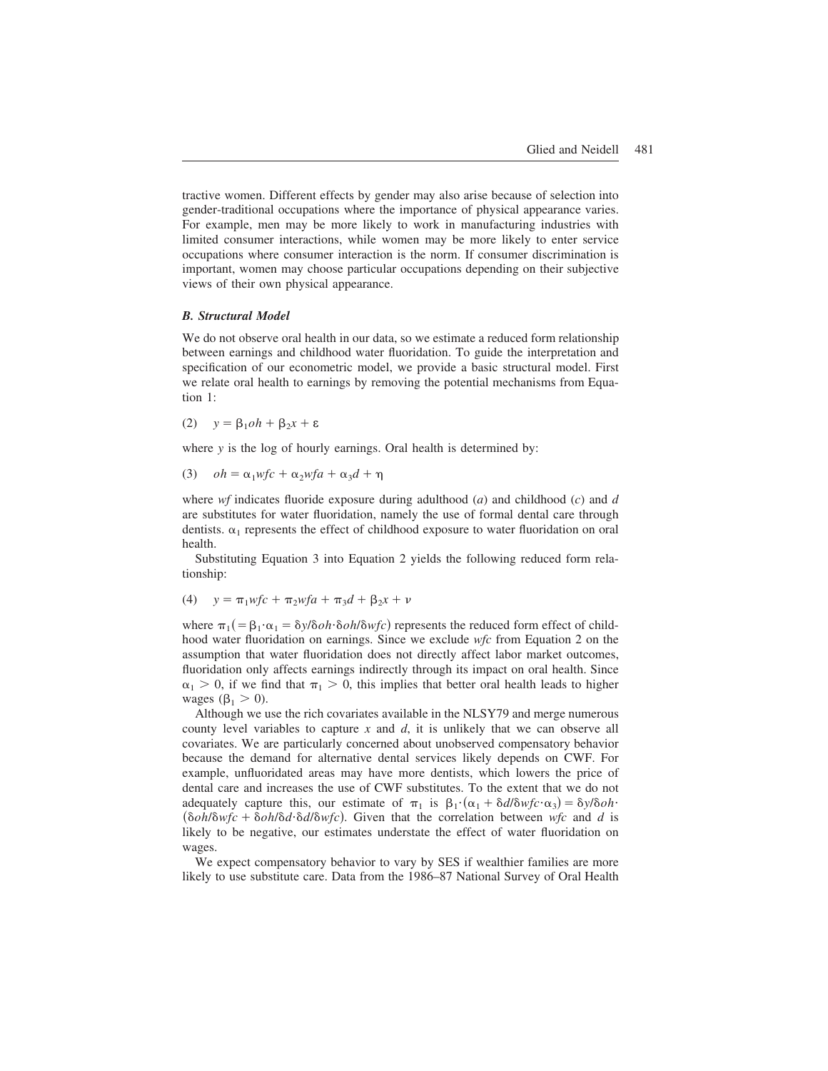tractive women. Different effects by gender may also arise because of selection into gender-traditional occupations where the importance of physical appearance varies. For example, men may be more likely to work in manufacturing industries with limited consumer interactions, while women may be more likely to enter service occupations where consumer interaction is the norm. If consumer discrimination is important, women may choose particular occupations depending on their subjective views of their own physical appearance.

#### *B. Structural Model*

We do not observe oral health in our data, so we estimate a reduced form relationship between earnings and childhood water fluoridation. To guide the interpretation and specification of our econometric model, we provide a basic structural model. First we relate oral health to earnings by removing the potential mechanisms from Equation 1:

(2) 
$$
y = \beta_1 oh + \beta_2 x + \varepsilon
$$

where *y* is the log of hourly earnings. Oral health is determined by:

(3) 
$$
oh = \alpha_1 wfc + \alpha_2 wfa + \alpha_3 d + \eta
$$

where *wf* indicates fluoride exposure during adulthood (*a*) and childhood (*c*) and *d* are substitutes for water fluoridation, namely the use of formal dental care through dentists.  $\alpha_1$  represents the effect of childhood exposure to water fluoridation on oral health.

Substituting Equation 3 into Equation 2 yields the following reduced form relationship:

(4) 
$$
y = \pi_1 w f c + \pi_2 w f a + \pi_3 d + \beta_2 x + \nu
$$

where  $\pi_1$  (=  $\beta_1 \cdot \alpha_1$  =  $\delta y/\delta oh \cdot \delta oh/\delta wf$ c) represents the reduced form effect of childhood water fluoridation on earnings. Since we exclude *wfc* from Equation 2 on the assumption that water fluoridation does not directly affect labor market outcomes, fluoridation only affects earnings indirectly through its impact on oral health. Since  $\alpha_1 > 0$ , if we find that  $\pi_1 > 0$ , this implies that better oral health leads to higher wages  $(\beta_1 > 0)$ .

Although we use the rich covariates available in the NLSY79 and merge numerous county level variables to capture *x* and *d*, it is unlikely that we can observe all covariates. We are particularly concerned about unobserved compensatory behavior because the demand for alternative dental services likely depends on CWF. For example, unfluoridated areas may have more dentists, which lowers the price of dental care and increases the use of CWF substitutes. To the extent that we do not adequately capture this, our estimate of  $\pi_1$  is  $\beta_1 \cdot (\alpha_1 + \delta d/\delta w f c \cdot \alpha_3) = \delta y/\delta o h \cdot$  $(\delta \rho h/\delta \omega f c + \delta \rho h/\delta d \cdot \delta d/\delta \omega f c)$ . Given that the correlation between  $\omega f c$  and *d* is likely to be negative, our estimates understate the effect of water fluoridation on wages.

We expect compensatory behavior to vary by SES if wealthier families are more likely to use substitute care. Data from the 1986–87 National Survey of Oral Health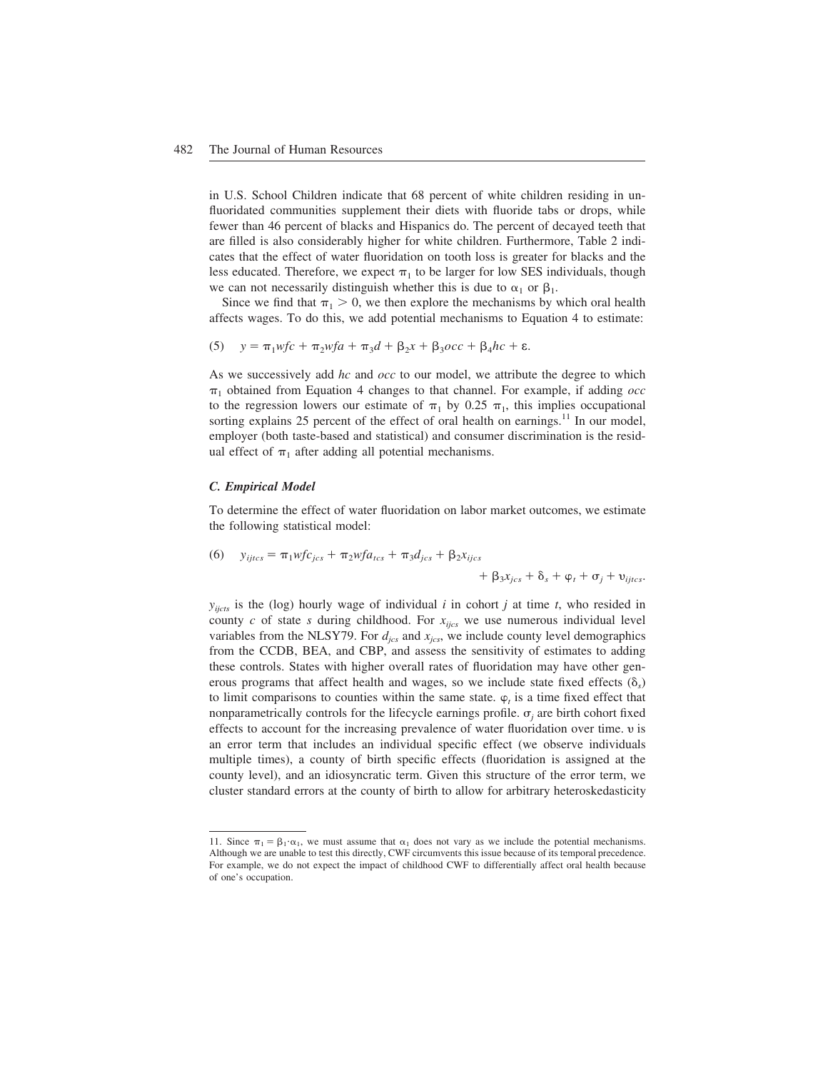in U.S. School Children indicate that 68 percent of white children residing in unfluoridated communities supplement their diets with fluoride tabs or drops, while fewer than 46 percent of blacks and Hispanics do. The percent of decayed teeth that are filled is also considerably higher for white children. Furthermore, Table 2 indicates that the effect of water fluoridation on tooth loss is greater for blacks and the less educated. Therefore, we expect  $\pi_1$  to be larger for low SES individuals, though we can not necessarily distinguish whether this is due to  $\alpha_1$  or  $\beta_1$ .

Since we find that  $\pi_1 > 0$ , we then explore the mechanisms by which oral health affects wages. To do this, we add potential mechanisms to Equation 4 to estimate:

(5) 
$$
y = \pi_1 wfc + \pi_2 wfa + \pi_3 d + \beta_2 x + \beta_3 occ + \beta_4 hc + \varepsilon.
$$

As we successively add *hc* and *occ* to our model, we attribute the degree to which  $\pi_1$  obtained from Equation 4 changes to that channel. For example, if adding *occ* to the regression lowers our estimate of  $\pi_1$  by 0.25  $\pi_1$ , this implies occupational sorting explains 25 percent of the effect of oral health on earnings.<sup>11</sup> In our model, employer (both taste-based and statistical) and consumer discrimination is the residual effect of  $\pi_1$  after adding all potential mechanisms.

#### *C. Empirical Model*

To determine the effect of water fluoridation on labor market outcomes, we estimate the following statistical model:

(6) 
$$
y_{ijtcs} = \pi_1 w f c_{jcs} + \pi_2 w f a_{tcs} + \pi_3 d_{jcs} + \beta_2 x_{ijcs} + \beta_3 x_{jcs} + \delta_s + \varphi_t + \sigma_j + \upsilon_{ijtcs}.
$$

 $y_{iicts}$  is the (log) hourly wage of individual *i* in cohort *j* at time *t*, who resided in county  $c$  of state  $s$  during childhood. For  $x_{ijcs}$  we use numerous individual level variables from the NLSY79. For  $d_{ics}$  and  $x_{ics}$ , we include county level demographics from the CCDB, BEA, and CBP, and assess the sensitivity of estimates to adding these controls. States with higher overall rates of fluoridation may have other generous programs that affect health and wages, so we include state fixed effects  $(\delta_s)$ to limit comparisons to counties within the same state.  $\varphi_t$  is a time fixed effect that nonparametrically controls for the lifecycle earnings profile.  $\sigma_j$  are birth cohort fixed effects to account for the increasing prevalence of water fluoridation over time.  $\nu$  is an error term that includes an individual specific effect (we observe individuals multiple times), a county of birth specific effects (fluoridation is assigned at the county level), and an idiosyncratic term. Given this structure of the error term, we cluster standard errors at the county of birth to allow for arbitrary heteroskedasticity

<sup>11.</sup> Since  $\pi_1 = \beta_1 \cdot \alpha_1$ , we must assume that  $\alpha_1$  does not vary as we include the potential mechanisms. Although we are unable to test this directly, CWF circumvents this issue because of its temporal precedence. For example, we do not expect the impact of childhood CWF to differentially affect oral health because of one's occupation.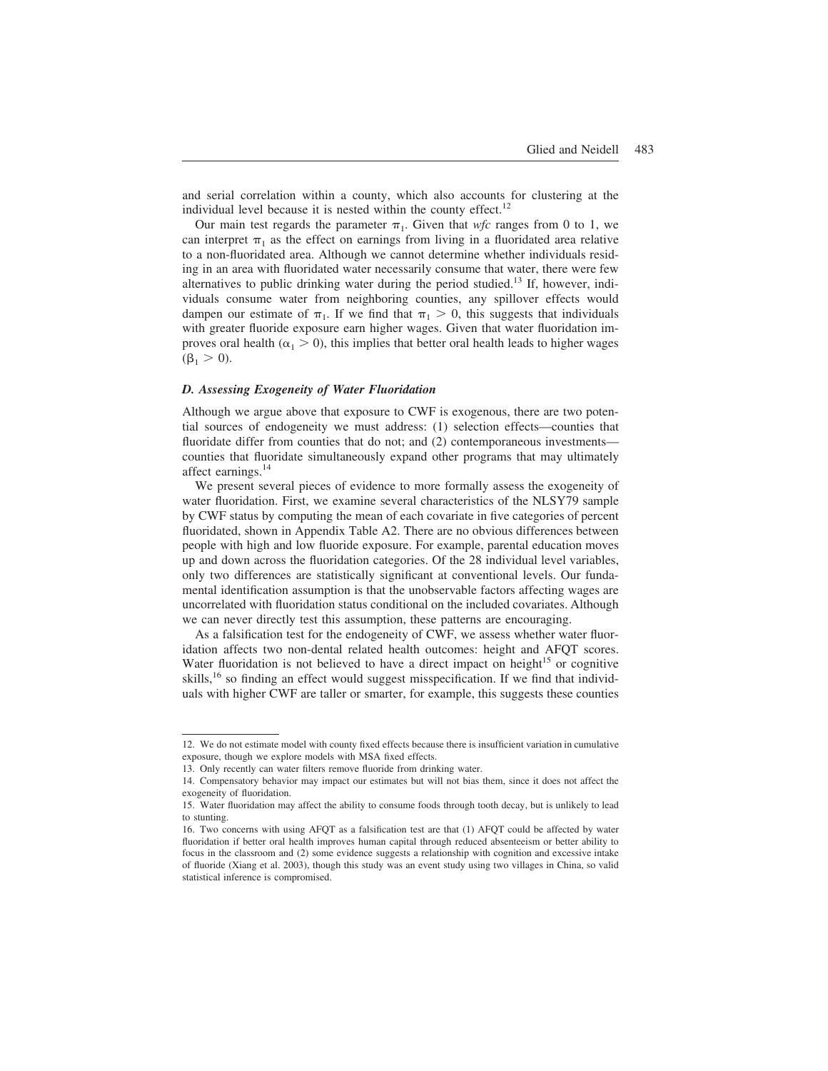and serial correlation within a county, which also accounts for clustering at the individual level because it is nested within the county effect.<sup>12</sup>

Our main test regards the parameter  $\pi_1$ . Given that *wfc* ranges from 0 to 1, we can interpret  $\pi_1$  as the effect on earnings from living in a fluoridated area relative to a non-fluoridated area. Although we cannot determine whether individuals residing in an area with fluoridated water necessarily consume that water, there were few alternatives to public drinking water during the period studied.<sup>13</sup> If, however, individuals consume water from neighboring counties, any spillover effects would dampen our estimate of  $\pi_1$ . If we find that  $\pi_1 > 0$ , this suggests that individuals with greater fluoride exposure earn higher wages. Given that water fluoridation improves oral health ( $\alpha_1 > 0$ ), this implies that better oral health leads to higher wages  $(\beta_1 > 0).$ 

## *D. Assessing Exogeneity of Water Fluoridation*

Although we argue above that exposure to CWF is exogenous, there are two potential sources of endogeneity we must address: (1) selection effects—counties that fluoridate differ from counties that do not; and (2) contemporaneous investments counties that fluoridate simultaneously expand other programs that may ultimately affect earnings.14

We present several pieces of evidence to more formally assess the exogeneity of water fluoridation. First, we examine several characteristics of the NLSY79 sample by CWF status by computing the mean of each covariate in five categories of percent fluoridated, shown in Appendix Table A2. There are no obvious differences between people with high and low fluoride exposure. For example, parental education moves up and down across the fluoridation categories. Of the 28 individual level variables, only two differences are statistically significant at conventional levels. Our fundamental identification assumption is that the unobservable factors affecting wages are uncorrelated with fluoridation status conditional on the included covariates. Although we can never directly test this assumption, these patterns are encouraging.

As a falsification test for the endogeneity of CWF, we assess whether water fluoridation affects two non-dental related health outcomes: height and AFQT scores. Water fluoridation is not believed to have a direct impact on height<sup>15</sup> or cognitive skills,  $16$  so finding an effect would suggest misspecification. If we find that individuals with higher CWF are taller or smarter, for example, this suggests these counties

<sup>12.</sup> We do not estimate model with county fixed effects because there is insufficient variation in cumulative exposure, though we explore models with MSA fixed effects.

<sup>13.</sup> Only recently can water filters remove fluoride from drinking water.

<sup>14.</sup> Compensatory behavior may impact our estimates but will not bias them, since it does not affect the exogeneity of fluoridation.

<sup>15.</sup> Water fluoridation may affect the ability to consume foods through tooth decay, but is unlikely to lead to stunting.

<sup>16.</sup> Two concerns with using AFQT as a falsification test are that (1) AFQT could be affected by water fluoridation if better oral health improves human capital through reduced absenteeism or better ability to focus in the classroom and (2) some evidence suggests a relationship with cognition and excessive intake of fluoride (Xiang et al. 2003), though this study was an event study using two villages in China, so valid statistical inference is compromised.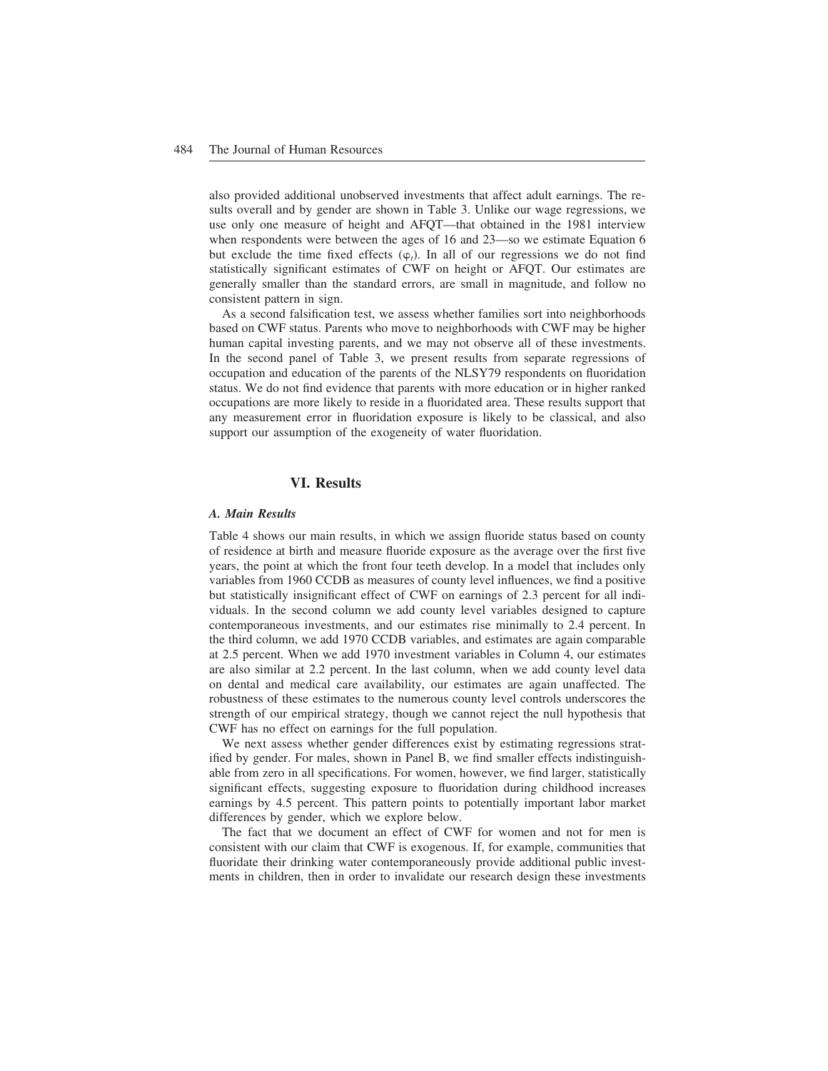also provided additional unobserved investments that affect adult earnings. The results overall and by gender are shown in Table 3. Unlike our wage regressions, we use only one measure of height and AFQT—that obtained in the 1981 interview when respondents were between the ages of 16 and 23—so we estimate Equation 6 but exclude the time fixed effects  $(\varphi_t)$ . In all of our regressions we do not find statistically significant estimates of CWF on height or AFQT. Our estimates are generally smaller than the standard errors, are small in magnitude, and follow no consistent pattern in sign.

As a second falsification test, we assess whether families sort into neighborhoods based on CWF status. Parents who move to neighborhoods with CWF may be higher human capital investing parents, and we may not observe all of these investments. In the second panel of Table 3, we present results from separate regressions of occupation and education of the parents of the NLSY79 respondents on fluoridation status. We do not find evidence that parents with more education or in higher ranked occupations are more likely to reside in a fluoridated area. These results support that any measurement error in fluoridation exposure is likely to be classical, and also support our assumption of the exogeneity of water fluoridation.

## **VI. Results**

#### *A. Main Results*

Table 4 shows our main results, in which we assign fluoride status based on county of residence at birth and measure fluoride exposure as the average over the first five years, the point at which the front four teeth develop. In a model that includes only variables from 1960 CCDB as measures of county level influences, we find a positive but statistically insignificant effect of CWF on earnings of 2.3 percent for all individuals. In the second column we add county level variables designed to capture contemporaneous investments, and our estimates rise minimally to 2.4 percent. In the third column, we add 1970 CCDB variables, and estimates are again comparable at 2.5 percent. When we add 1970 investment variables in Column 4, our estimates are also similar at 2.2 percent. In the last column, when we add county level data on dental and medical care availability, our estimates are again unaffected. The robustness of these estimates to the numerous county level controls underscores the strength of our empirical strategy, though we cannot reject the null hypothesis that CWF has no effect on earnings for the full population.

We next assess whether gender differences exist by estimating regressions stratified by gender. For males, shown in Panel B, we find smaller effects indistinguishable from zero in all specifications. For women, however, we find larger, statistically significant effects, suggesting exposure to fluoridation during childhood increases earnings by 4.5 percent. This pattern points to potentially important labor market differences by gender, which we explore below.

The fact that we document an effect of CWF for women and not for men is consistent with our claim that CWF is exogenous. If, for example, communities that fluoridate their drinking water contemporaneously provide additional public investments in children, then in order to invalidate our research design these investments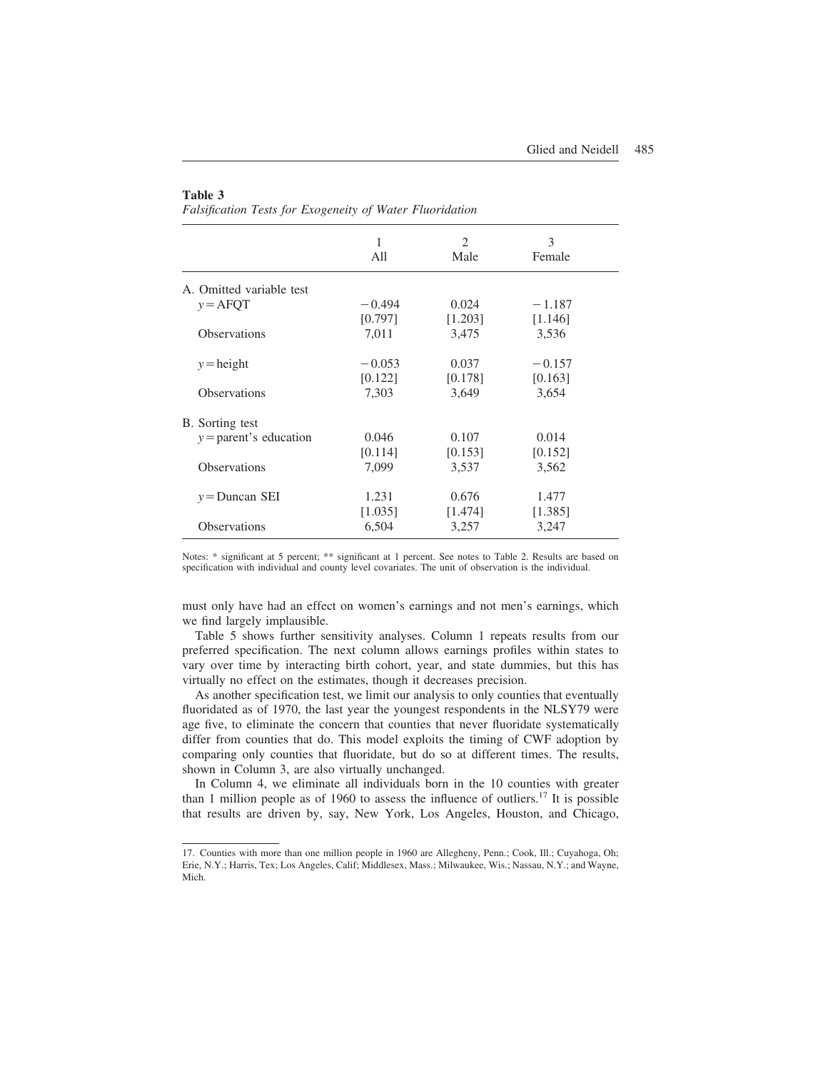#### **Table 3**

*Falsification Tests for Exogeneity of Water Fluoridation*

|                          | 1<br>All | $\overline{2}$<br>Male | 3<br>Female |  |
|--------------------------|----------|------------------------|-------------|--|
| A. Omitted variable test |          |                        |             |  |
| $y = A$ FQT              | $-0.494$ | 0.024                  | $-1.187$    |  |
|                          | [0.797]  | [1.203]                | [1.146]     |  |
| <b>Observations</b>      | 7,011    | 3,475                  | 3,536       |  |
| $y = height$             | $-0.053$ | 0.037                  | $-0.157$    |  |
|                          | [0.122]  | [0.178]                | [0.163]     |  |
| <b>Observations</b>      | 7,303    | 3,649                  | 3,654       |  |
| B. Sorting test          |          |                        |             |  |
| $y =$ parent's education | 0.046    | 0.107                  | 0.014       |  |
|                          | [0.114]  | [0.153]                | [0.152]     |  |
| <b>Observations</b>      | 7,099    | 3,537                  | 3,562       |  |
| $y =$ Duncan SEI         | 1.231    | 0.676                  | 1.477       |  |
|                          | [1.035]  | [1.474]                | [1.385]     |  |
| <b>Observations</b>      | 6,504    | 3,257                  | 3,247       |  |

Notes: \* significant at 5 percent; \*\* significant at 1 percent. See notes to Table 2. Results are based on specification with individual and county level covariates. The unit of observation is the individual.

must only have had an effect on women's earnings and not men's earnings, which we find largely implausible.

Table 5 shows further sensitivity analyses. Column 1 repeats results from our preferred specification. The next column allows earnings profiles within states to vary over time by interacting birth cohort, year, and state dummies, but this has virtually no effect on the estimates, though it decreases precision.

As another specification test, we limit our analysis to only counties that eventually fluoridated as of 1970, the last year the youngest respondents in the NLSY79 were age five, to eliminate the concern that counties that never fluoridate systematically differ from counties that do. This model exploits the timing of CWF adoption by comparing only counties that fluoridate, but do so at different times. The results, shown in Column 3, are also virtually unchanged.

In Column 4, we eliminate all individuals born in the 10 counties with greater than 1 million people as of 1960 to assess the influence of outliers.<sup>17</sup> It is possible that results are driven by, say, New York, Los Angeles, Houston, and Chicago,

<sup>17.</sup> Counties with more than one million people in 1960 are Allegheny, Penn.; Cook, Ill.; Cuyahoga, Oh; Erie, N.Y.; Harris, Tex; Los Angeles, Calif; Middlesex, Mass.; Milwaukee, Wis.; Nassau, N.Y.; and Wayne, Mich.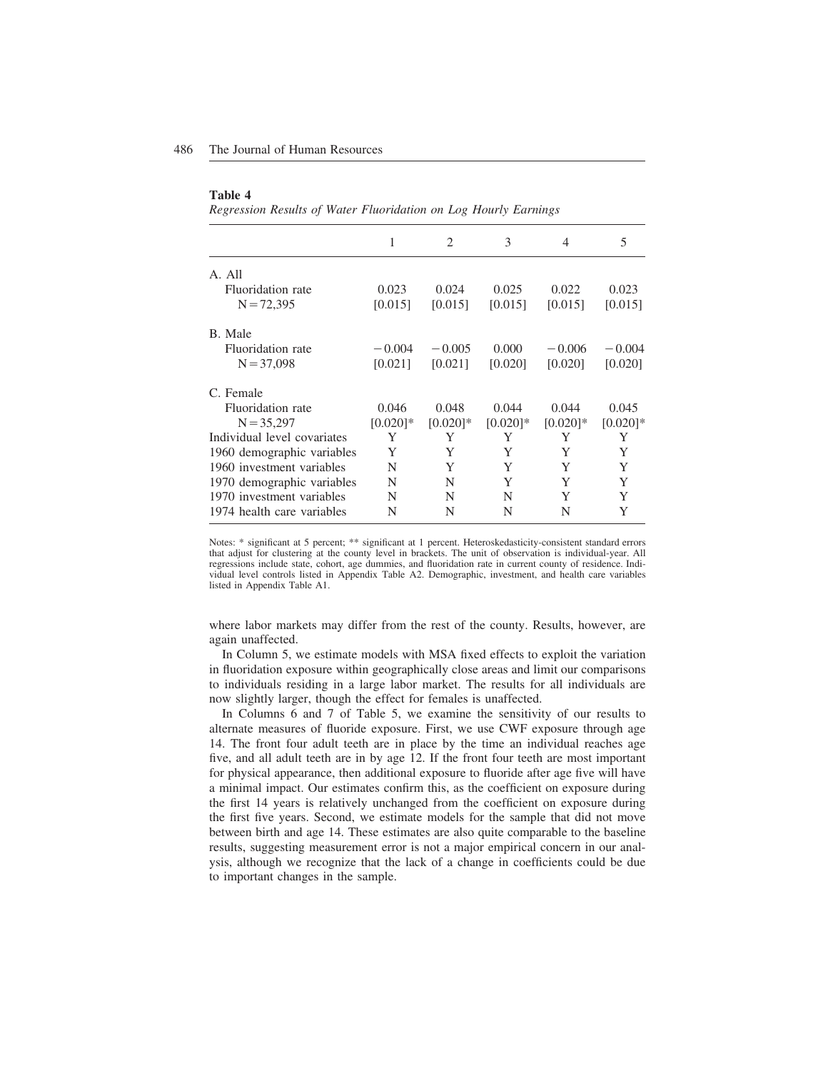#### **Table 4**

*Regression Results of Water Fluoridation on Log Hourly Earnings*

|                             | 1           | $\mathfrak{D}$ | 3           | 4           | 5           |
|-----------------------------|-------------|----------------|-------------|-------------|-------------|
| A. All                      |             |                |             |             |             |
| Fluoridation rate           | 0.023       | 0.024          | 0.025       | 0.022       | 0.023       |
| $N = 72,395$                | [0.015]     | [0.015]        | [0.015]     | [0.015]     | [0.015]     |
| B. Male                     |             |                |             |             |             |
| Fluoridation rate           | $-0.004$    | $-0.005$       | 0.000       | $-0.006$    | $-0.004$    |
| $N = 37,098$                | [0.021]     | [0.021]        | [0.020]     | [0.020]     | [0.020]     |
| C. Female                   |             |                |             |             |             |
| Fluoridation rate           | 0.046       | 0.048          | 0.044       | 0.044       | 0.045       |
| $N = 35,297$                | $[0.020]$ * | $[0.020]$ *    | $[0.020]$ * | $[0.020]$ * | $[0.020]$ * |
| Individual level covariates | Y           | Y              | Y           | Y           | Y           |
| 1960 demographic variables  | Y           | Y              | Y           | Y           | Y           |
| 1960 investment variables   | N           | Y              | Y           | Y           | Y           |
| 1970 demographic variables  | N           | N              | Y           | Y           | Y           |
| 1970 investment variables   | N           | N              | N           | Y           | Y           |
| 1974 health care variables  | N           | N              | N           | N           | Y           |

Notes: \* significant at 5 percent; \*\* significant at 1 percent. Heteroskedasticity-consistent standard errors that adjust for clustering at the county level in brackets. The unit of observation is individual-year. All regressions include state, cohort, age dummies, and fluoridation rate in current county of residence. Individual level controls listed in Appendix Table A2. Demographic, investment, and health care variables listed in Appendix Table A1.

where labor markets may differ from the rest of the county. Results, however, are again unaffected.

In Column 5, we estimate models with MSA fixed effects to exploit the variation in fluoridation exposure within geographically close areas and limit our comparisons to individuals residing in a large labor market. The results for all individuals are now slightly larger, though the effect for females is unaffected.

In Columns 6 and 7 of Table 5, we examine the sensitivity of our results to alternate measures of fluoride exposure. First, we use CWF exposure through age 14. The front four adult teeth are in place by the time an individual reaches age five, and all adult teeth are in by age 12. If the front four teeth are most important for physical appearance, then additional exposure to fluoride after age five will have a minimal impact. Our estimates confirm this, as the coefficient on exposure during the first 14 years is relatively unchanged from the coefficient on exposure during the first five years. Second, we estimate models for the sample that did not move between birth and age 14. These estimates are also quite comparable to the baseline results, suggesting measurement error is not a major empirical concern in our analysis, although we recognize that the lack of a change in coefficients could be due to important changes in the sample.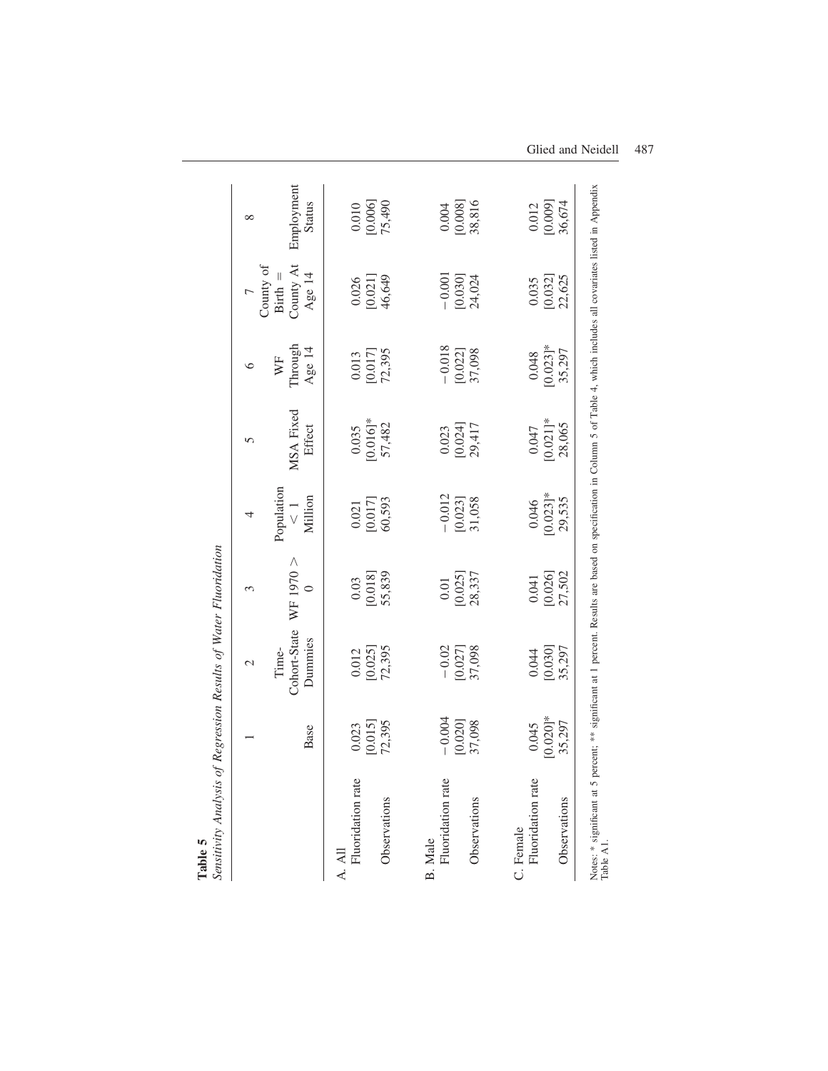|                                |                       | $\mathbf 2$                      | $\mathfrak{g}$                               | 4                                                          | $\sqrt{ }$                                                | ७                                                       |                                                          | $\infty$                                                |
|--------------------------------|-----------------------|----------------------------------|----------------------------------------------|------------------------------------------------------------|-----------------------------------------------------------|---------------------------------------------------------|----------------------------------------------------------|---------------------------------------------------------|
|                                | Base                  | Cohort-State<br>Dummies<br>Time- | WF 1970 $>$<br>0                             | Population<br>Million<br>$\frac{1}{\sqrt{2}}$              | MSA Fixed<br>Effect                                       | Through<br>Age $14$<br>WF                               | County At<br>County of Birth $\,=\,$<br>Age 14           | Employment<br><b>Status</b>                             |
| Fluoridation rate<br>A. All    | [0.015]<br>0.023      | $\frac{0.012}{[0.025]}$          | $\begin{array}{c} 0.03 \\ 0.018 \end{array}$ | $\begin{bmatrix} 0.021 \\ 0.017 \end{bmatrix}$             | $\begin{array}{c} 0.035 \\ 10.016 \end{array}$<br>57,482  | $\begin{array}{c} 0.013 \\ 0.017 \end{array}$<br>72,395 | $\begin{array}{c} 0.026 \\ 10.021 \end{array}$<br>46,649 | $\begin{array}{c} 0.010 \\ 0.006 \\ 75,490 \end{array}$ |
| Observations                   | 72,395                | 72,395                           | 55,839                                       | 60,593                                                     |                                                           |                                                         |                                                          |                                                         |
| Fluoridation rate<br>B. Male   | $-0.004$              | $-0.02$                          | $\frac{0.01}{[0.025]}$                       |                                                            |                                                           |                                                         | $-0.001$                                                 |                                                         |
| Observations                   | $[0.020]$<br>37,098   | 37,098<br>[0.027]                | 28,337                                       | $\begin{array}{c} -0.012 \\ [0.023] \\ 31,058 \end{array}$ | $\begin{array}{c} 0.023 \\ 0.024 ] \\ 29,417 \end{array}$ | $-0.018$<br>[0.022]<br>37,098                           | $[0.030]$<br>24,024                                      | $\begin{array}{c} 0.004 \\ 0.008 \\ 38.816 \end{array}$ |
| Fluoridation rate<br>C. Female | 0.045                 | 0.044                            | 0.041                                        | 0.046                                                      | 0.047                                                     | 0.048                                                   | 0.035                                                    |                                                         |
| Observations                   | $[0.020]$ *<br>35,297 | $[0.030]$<br>35,297              | $[0.026]$<br>27,502                          | $[0.023]$ *<br>29,535                                      | $[0.021]$ *<br>28,065                                     | $[0.023]$ *<br>35,297                                   | $[0.032]$<br>22,625                                      | $\begin{array}{c} 0.012 \\ 0.009 \\ 36,674 \end{array}$ |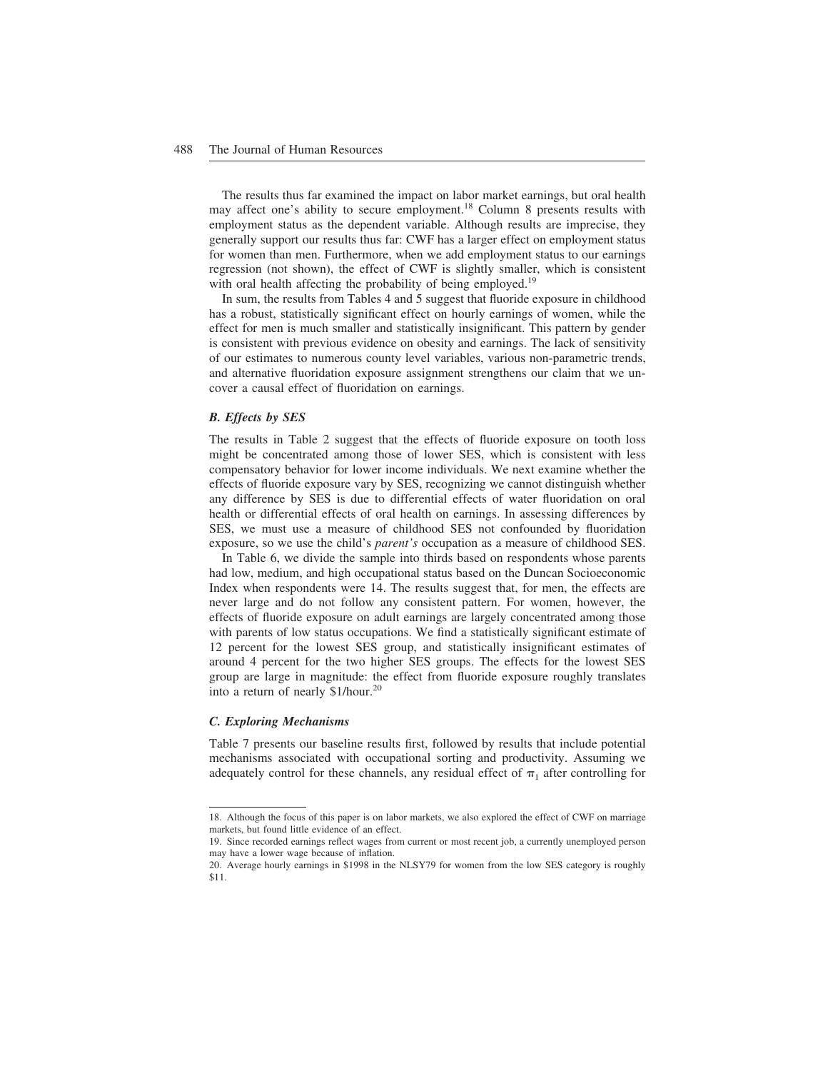The results thus far examined the impact on labor market earnings, but oral health may affect one's ability to secure employment.<sup>18</sup> Column 8 presents results with employment status as the dependent variable. Although results are imprecise, they generally support our results thus far: CWF has a larger effect on employment status for women than men. Furthermore, when we add employment status to our earnings regression (not shown), the effect of CWF is slightly smaller, which is consistent with oral health affecting the probability of being employed.<sup>19</sup>

In sum, the results from Tables 4 and 5 suggest that fluoride exposure in childhood has a robust, statistically significant effect on hourly earnings of women, while the effect for men is much smaller and statistically insignificant. This pattern by gender is consistent with previous evidence on obesity and earnings. The lack of sensitivity of our estimates to numerous county level variables, various non-parametric trends, and alternative fluoridation exposure assignment strengthens our claim that we uncover a causal effect of fluoridation on earnings.

## *B. Effects by SES*

The results in Table 2 suggest that the effects of fluoride exposure on tooth loss might be concentrated among those of lower SES, which is consistent with less compensatory behavior for lower income individuals. We next examine whether the effects of fluoride exposure vary by SES, recognizing we cannot distinguish whether any difference by SES is due to differential effects of water fluoridation on oral health or differential effects of oral health on earnings. In assessing differences by SES, we must use a measure of childhood SES not confounded by fluoridation exposure, so we use the child's *parent's* occupation as a measure of childhood SES.

In Table 6, we divide the sample into thirds based on respondents whose parents had low, medium, and high occupational status based on the Duncan Socioeconomic Index when respondents were 14. The results suggest that, for men, the effects are never large and do not follow any consistent pattern. For women, however, the effects of fluoride exposure on adult earnings are largely concentrated among those with parents of low status occupations. We find a statistically significant estimate of 12 percent for the lowest SES group, and statistically insignificant estimates of around 4 percent for the two higher SES groups. The effects for the lowest SES group are large in magnitude: the effect from fluoride exposure roughly translates into a return of nearly \$1/hour.<sup>20</sup>

## *C. Exploring Mechanisms*

Table 7 presents our baseline results first, followed by results that include potential mechanisms associated with occupational sorting and productivity. Assuming we adequately control for these channels, any residual effect of  $\pi_1$  after controlling for

<sup>18.</sup> Although the focus of this paper is on labor markets, we also explored the effect of CWF on marriage markets, but found little evidence of an effect.

<sup>19.</sup> Since recorded earnings reflect wages from current or most recent job, a currently unemployed person may have a lower wage because of inflation.

<sup>20.</sup> Average hourly earnings in \$1998 in the NLSY79 for women from the low SES category is roughly \$11.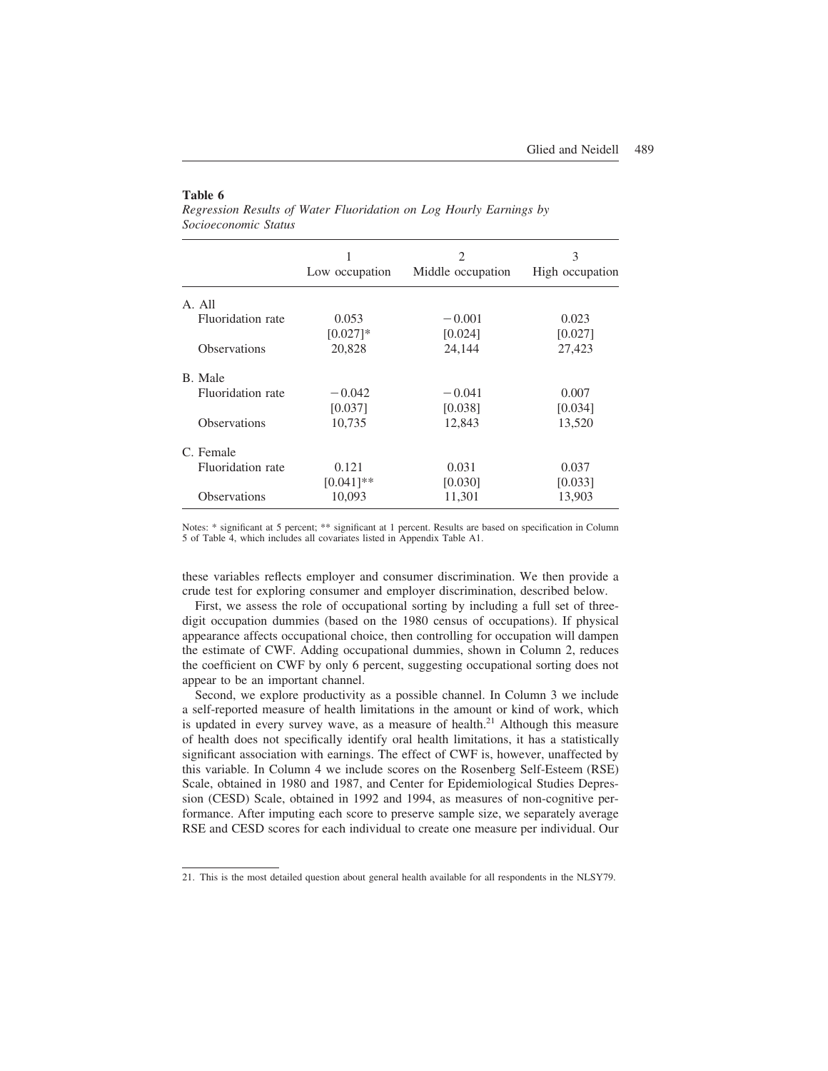#### **Table 6**

|                     | Low occupation | $\mathfrak{D}_{\mathfrak{p}}$<br>Middle occupation | 3<br>High occupation |
|---------------------|----------------|----------------------------------------------------|----------------------|
|                     |                |                                                    |                      |
| A. All              |                |                                                    |                      |
| Fluoridation rate   | 0.053          | $-0.001$                                           | 0.023                |
|                     | $[0.027]$ *    | [0.024]                                            | [0.027]              |
| <b>Observations</b> | 20,828         | 24,144                                             | 27,423               |
| B. Male             |                |                                                    |                      |
| Fluoridation rate   | $-0.042$       | $-0.041$                                           | 0.007                |
|                     | [0.037]        | [0.038]                                            | [0.034]              |
| <b>Observations</b> | 10,735         | 12,843                                             | 13,520               |
| C. Female           |                |                                                    |                      |
| Fluoridation rate   | 0.121          | 0.031                                              | 0.037                |
|                     | $[0.041]$ **   | [0.030]                                            | [0.033]              |
| Observations        | 10,093         | 11,301                                             | 13,903               |

*Regression Results of Water Fluoridation on Log Hourly Earnings by Socioeconomic Status*

Notes: \* significant at 5 percent; \*\* significant at 1 percent. Results are based on specification in Column 5 of Table 4, which includes all covariates listed in Appendix Table A1.

these variables reflects employer and consumer discrimination. We then provide a crude test for exploring consumer and employer discrimination, described below.

First, we assess the role of occupational sorting by including a full set of threedigit occupation dummies (based on the 1980 census of occupations). If physical appearance affects occupational choice, then controlling for occupation will dampen the estimate of CWF. Adding occupational dummies, shown in Column 2, reduces the coefficient on CWF by only 6 percent, suggesting occupational sorting does not appear to be an important channel.

Second, we explore productivity as a possible channel. In Column 3 we include a self-reported measure of health limitations in the amount or kind of work, which is updated in every survey wave, as a measure of health.<sup>21</sup> Although this measure of health does not specifically identify oral health limitations, it has a statistically significant association with earnings. The effect of CWF is, however, unaffected by this variable. In Column 4 we include scores on the Rosenberg Self-Esteem (RSE) Scale, obtained in 1980 and 1987, and Center for Epidemiological Studies Depression (CESD) Scale, obtained in 1992 and 1994, as measures of non-cognitive performance. After imputing each score to preserve sample size, we separately average RSE and CESD scores for each individual to create one measure per individual. Our

<sup>21.</sup> This is the most detailed question about general health available for all respondents in the NLSY79.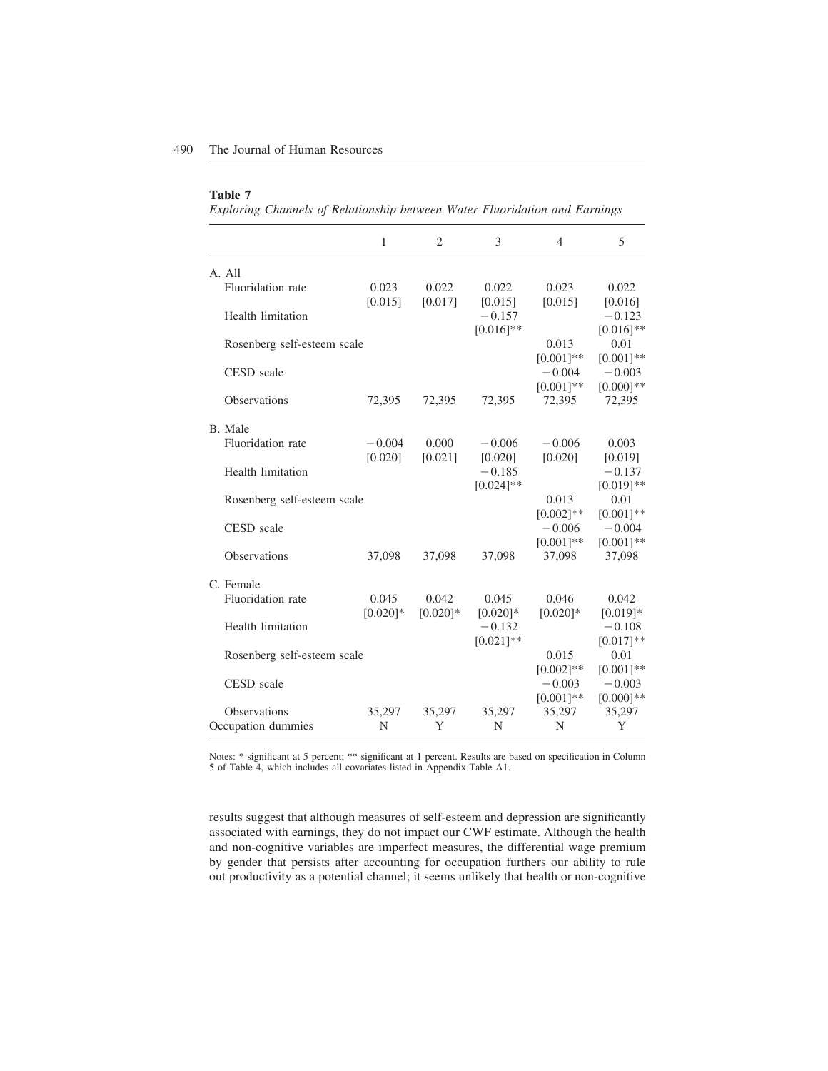#### **Table 7**

*Exploring Channels of Relationship between Water Fluoridation and Earnings*

|                             | $\mathbf{1}$ | $\overline{2}$ | 3                                       | 4                                       | 5                                       |
|-----------------------------|--------------|----------------|-----------------------------------------|-----------------------------------------|-----------------------------------------|
| A. All                      |              |                |                                         |                                         |                                         |
| Fluoridation rate           | 0.023        | 0.022          | 0.022                                   | 0.023                                   | 0.022                                   |
| Health limitation           | [0.015]      | [0.017]        | [0.015]<br>$-0.157$<br>$[0.016]$ **     | [0.015]                                 | [0.016]<br>$-0.123$<br>$[0.016]$ **     |
| Rosenberg self-esteem scale |              |                |                                         | 0.013                                   | 0.01                                    |
| CESD scale                  |              |                |                                         | $[0.001]*$<br>$-0.004$<br>$[0.001]*$    | $[0.001]*$<br>$-0.003$<br>$[0.000]$ **  |
| Observations                | 72,395       | 72,395         | 72,395                                  | 72,395                                  | 72,395                                  |
| B. Male                     |              |                |                                         |                                         |                                         |
| Fluoridation rate           | $-0.004$     | 0.000          | $-0.006$                                | $-0.006$                                | 0.003                                   |
| Health limitation           | [0.020]      | [0.021]        | [0.020]<br>$-0.185$<br>$[0.024]$ **     | [0.020]                                 | [0.019]<br>$-0.137$<br>$[0.019]**$      |
| Rosenberg self-esteem scale |              |                |                                         | 0.013                                   | 0.01                                    |
| <b>CESD</b> scale           |              |                |                                         | $[0.002]$ **<br>$-0.006$<br>$[0.001]**$ | $[0.001]**$<br>$-0.004$<br>$[0.001]$ ** |
| Observations                | 37,098       | 37,098         | 37,098                                  | 37,098                                  | 37,098                                  |
| C. Female                   |              |                |                                         |                                         |                                         |
| Fluoridation rate           | 0.045        | 0.042          | 0.045                                   | 0.046                                   | 0.042                                   |
| Health limitation           | $[0.020]$ *  | $[0.020]$ *    | $[0.020]$ *<br>$-0.132$<br>$[0.021]$ ** | $[0.020]$ *                             | $[0.019]*$<br>$-0.108$<br>$[0.017]**$   |
| Rosenberg self-esteem scale |              |                |                                         | 0.015                                   | 0.01                                    |
| CESD scale                  |              |                |                                         | $[0.002]$ **<br>$-0.003$<br>$[0.001]**$ | $[0.001]*$<br>$-0.003$<br>$[0.000]$ **  |
| Observations                | 35,297       | 35,297         | 35,297                                  | 35,297                                  | 35,297                                  |
| Occupation dummies          | N            | Y              | N                                       | N                                       | Y                                       |

Notes: \* significant at 5 percent; \*\* significant at 1 percent. Results are based on specification in Column 5 of Table 4, which includes all covariates listed in Appendix Table A1.

results suggest that although measures of self-esteem and depression are significantly associated with earnings, they do not impact our CWF estimate. Although the health and non-cognitive variables are imperfect measures, the differential wage premium by gender that persists after accounting for occupation furthers our ability to rule out productivity as a potential channel; it seems unlikely that health or non-cognitive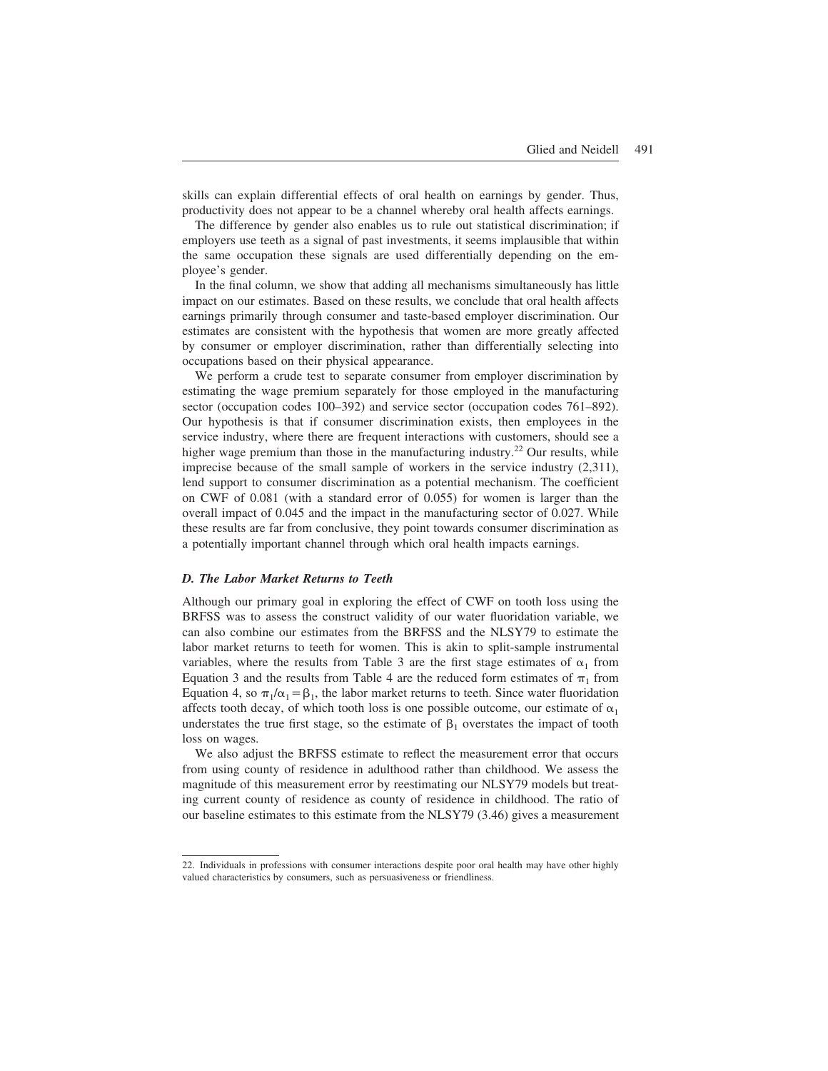skills can explain differential effects of oral health on earnings by gender. Thus, productivity does not appear to be a channel whereby oral health affects earnings.

The difference by gender also enables us to rule out statistical discrimination; if employers use teeth as a signal of past investments, it seems implausible that within the same occupation these signals are used differentially depending on the employee's gender.

In the final column, we show that adding all mechanisms simultaneously has little impact on our estimates. Based on these results, we conclude that oral health affects earnings primarily through consumer and taste-based employer discrimination. Our estimates are consistent with the hypothesis that women are more greatly affected by consumer or employer discrimination, rather than differentially selecting into occupations based on their physical appearance.

We perform a crude test to separate consumer from employer discrimination by estimating the wage premium separately for those employed in the manufacturing sector (occupation codes 100–392) and service sector (occupation codes 761–892). Our hypothesis is that if consumer discrimination exists, then employees in the service industry, where there are frequent interactions with customers, should see a higher wage premium than those in the manufacturing industry.<sup>22</sup> Our results, while imprecise because of the small sample of workers in the service industry (2,311), lend support to consumer discrimination as a potential mechanism. The coefficient on CWF of 0.081 (with a standard error of 0.055) for women is larger than the overall impact of 0.045 and the impact in the manufacturing sector of 0.027. While these results are far from conclusive, they point towards consumer discrimination as a potentially important channel through which oral health impacts earnings.

#### *D. The Labor Market Returns to Teeth*

Although our primary goal in exploring the effect of CWF on tooth loss using the BRFSS was to assess the construct validity of our water fluoridation variable, we can also combine our estimates from the BRFSS and the NLSY79 to estimate the labor market returns to teeth for women. This is akin to split-sample instrumental variables, where the results from Table 3 are the first stage estimates of  $\alpha_1$  from Equation 3 and the results from Table 4 are the reduced form estimates of  $\pi_1$  from Equation 4, so  $\pi_1/\alpha_1 = \beta_1$ , the labor market returns to teeth. Since water fluoridation affects tooth decay, of which tooth loss is one possible outcome, our estimate of  $\alpha_1$ understates the true first stage, so the estimate of  $\beta_1$  overstates the impact of tooth loss on wages.

We also adjust the BRFSS estimate to reflect the measurement error that occurs from using county of residence in adulthood rather than childhood. We assess the magnitude of this measurement error by reestimating our NLSY79 models but treating current county of residence as county of residence in childhood. The ratio of our baseline estimates to this estimate from the NLSY79 (3.46) gives a measurement

<sup>22.</sup> Individuals in professions with consumer interactions despite poor oral health may have other highly valued characteristics by consumers, such as persuasiveness or friendliness.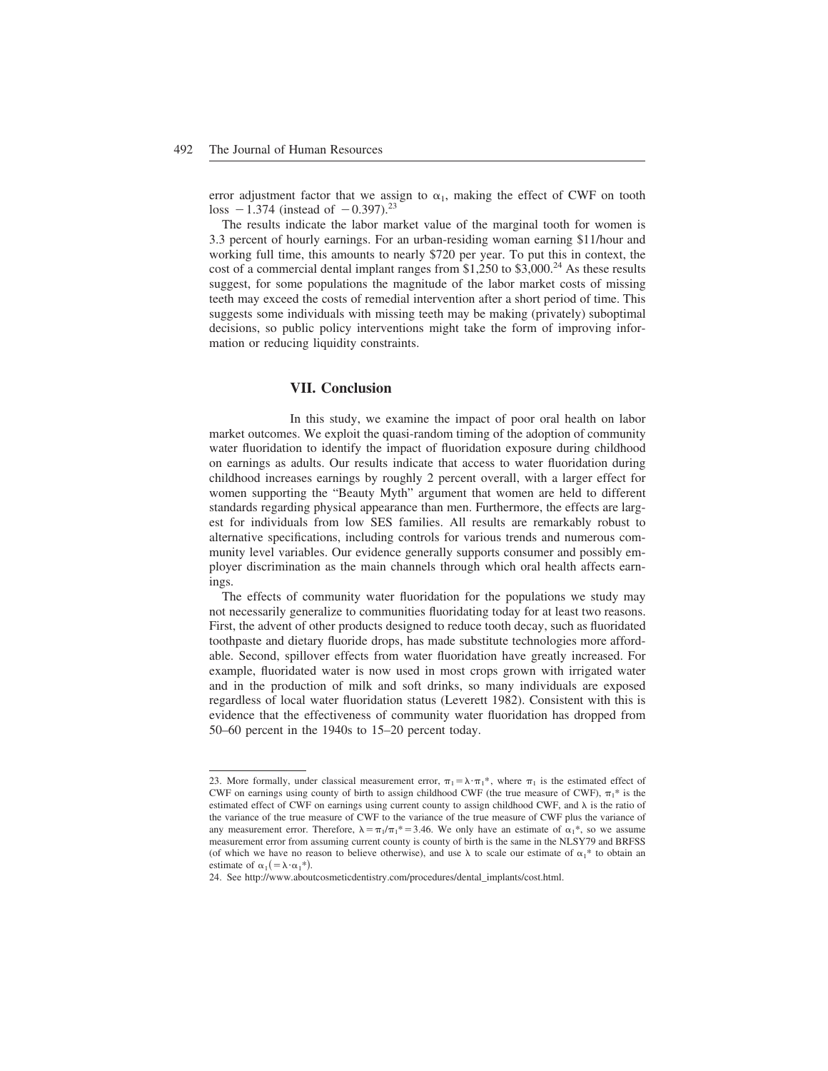error adjustment factor that we assign to  $\alpha_1$ , making the effect of CWF on tooth loss  $-1.374$  (instead of  $-0.397$ ).<sup>23</sup>

The results indicate the labor market value of the marginal tooth for women is 3.3 percent of hourly earnings. For an urban-residing woman earning \$11/hour and working full time, this amounts to nearly \$720 per year. To put this in context, the cost of a commercial dental implant ranges from \$1,250 to \$3,000.<sup>24</sup> As these results suggest, for some populations the magnitude of the labor market costs of missing teeth may exceed the costs of remedial intervention after a short period of time. This suggests some individuals with missing teeth may be making (privately) suboptimal decisions, so public policy interventions might take the form of improving information or reducing liquidity constraints.

#### **VII. Conclusion**

In this study, we examine the impact of poor oral health on labor market outcomes. We exploit the quasi-random timing of the adoption of community water fluoridation to identify the impact of fluoridation exposure during childhood on earnings as adults. Our results indicate that access to water fluoridation during childhood increases earnings by roughly 2 percent overall, with a larger effect for women supporting the "Beauty Myth" argument that women are held to different standards regarding physical appearance than men. Furthermore, the effects are largest for individuals from low SES families. All results are remarkably robust to alternative specifications, including controls for various trends and numerous community level variables. Our evidence generally supports consumer and possibly employer discrimination as the main channels through which oral health affects earnings.

The effects of community water fluoridation for the populations we study may not necessarily generalize to communities fluoridating today for at least two reasons. First, the advent of other products designed to reduce tooth decay, such as fluoridated toothpaste and dietary fluoride drops, has made substitute technologies more affordable. Second, spillover effects from water fluoridation have greatly increased. For example, fluoridated water is now used in most crops grown with irrigated water and in the production of milk and soft drinks, so many individuals are exposed regardless of local water fluoridation status (Leverett 1982). Consistent with this is evidence that the effectiveness of community water fluoridation has dropped from 50–60 percent in the 1940s to 15–20 percent today.

<sup>23.</sup> More formally, under classical measurement error,  $\pi_1 = \lambda \cdot \pi_1^*$ , where  $\pi_1$  is the estimated effect of CWF on earnings using county of birth to assign childhood CWF (the true measure of CWF),  $\pi_1^*$  is the estimated effect of CWF on earnings using current county to assign childhood CWF, and  $\lambda$  is the ratio of the variance of the true measure of CWF to the variance of the true measure of CWF plus the variance of any measurement error. Therefore,  $\lambda = \pi_1/\pi_1^* = 3.46$ . We only have an estimate of  $\alpha_1^*$ , so we assume measurement error from assuming current county is county of birth is the same in the NLSY79 and BRFSS (of which we have no reason to believe otherwise), and use  $\lambda$  to scale our estimate of  $\alpha_1^*$  to obtain an estimate of  $\alpha_1$  ( =  $\lambda \cdot \alpha_1^*$ ).

<sup>24.</sup> See http://www.aboutcosmeticdentistry.com/procedures/dental\_implants/cost.html.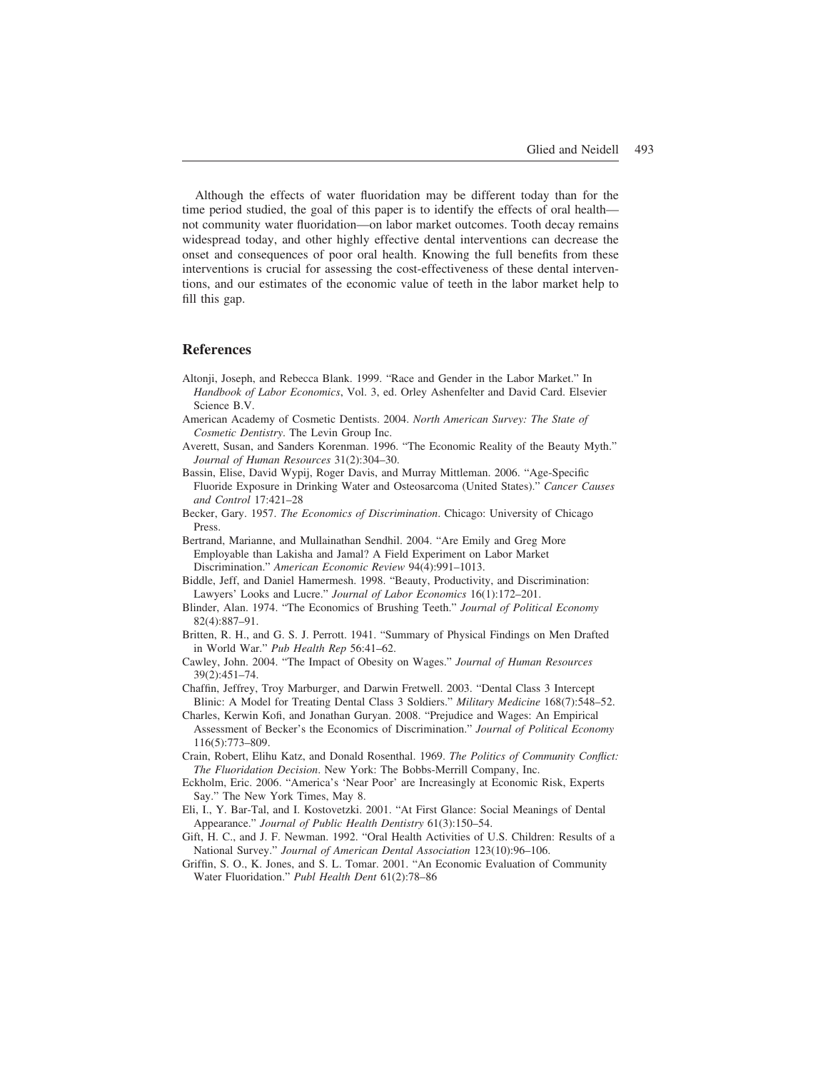Although the effects of water fluoridation may be different today than for the time period studied, the goal of this paper is to identify the effects of oral health not community water fluoridation—on labor market outcomes. Tooth decay remains widespread today, and other highly effective dental interventions can decrease the onset and consequences of poor oral health. Knowing the full benefits from these interventions is crucial for assessing the cost-effectiveness of these dental interventions, and our estimates of the economic value of teeth in the labor market help to fill this gap.

#### **References**

- Altonji, Joseph, and Rebecca Blank. 1999. "Race and Gender in the Labor Market." In *Handbook of Labor Economics*, Vol. 3, ed. Orley Ashenfelter and David Card. Elsevier Science B.V.
- American Academy of Cosmetic Dentists. 2004. *North American Survey: The State of Cosmetic Dentistry*. The Levin Group Inc.
- Averett, Susan, and Sanders Korenman. 1996. "The Economic Reality of the Beauty Myth." *Journal of Human Resources* 31(2):304–30.

Bassin, Elise, David Wypij, Roger Davis, and Murray Mittleman. 2006. "Age-Specific Fluoride Exposure in Drinking Water and Osteosarcoma (United States)." *Cancer Causes and Control* 17:421–28

- Becker, Gary. 1957. *The Economics of Discrimination*. Chicago: University of Chicago Press.
- Bertrand, Marianne, and Mullainathan Sendhil. 2004. "Are Emily and Greg More Employable than Lakisha and Jamal? A Field Experiment on Labor Market Discrimination." *American Economic Review* 94(4):991–1013.
- Biddle, Jeff, and Daniel Hamermesh. 1998. "Beauty, Productivity, and Discrimination: Lawyers' Looks and Lucre." *Journal of Labor Economics* 16(1):172–201.
- Blinder, Alan. 1974. "The Economics of Brushing Teeth." *Journal of Political Economy* 82(4):887–91.
- Britten, R. H., and G. S. J. Perrott. 1941. "Summary of Physical Findings on Men Drafted in World War." *Pub Health Rep* 56:41–62.
- Cawley, John. 2004. "The Impact of Obesity on Wages." *Journal of Human Resources* 39(2):451–74.
- Chaffin, Jeffrey, Troy Marburger, and Darwin Fretwell. 2003. "Dental Class 3 Intercept Blinic: A Model for Treating Dental Class 3 Soldiers." *Military Medicine* 168(7):548–52.
- Charles, Kerwin Kofi, and Jonathan Guryan. 2008. "Prejudice and Wages: An Empirical Assessment of Becker's the Economics of Discrimination." *Journal of Political Economy* 116(5):773–809.
- Crain, Robert, Elihu Katz, and Donald Rosenthal. 1969. *The Politics of Community Conflict: The Fluoridation Decision*. New York: The Bobbs-Merrill Company, Inc.
- Eckholm, Eric. 2006. "America's 'Near Poor' are Increasingly at Economic Risk, Experts Say." The New York Times, May 8.
- Eli, I., Y. Bar-Tal, and I. Kostovetzki. 2001. "At First Glance: Social Meanings of Dental Appearance." *Journal of Public Health Dentistry* 61(3):150–54.
- Gift, H. C., and J. F. Newman. 1992. "Oral Health Activities of U.S. Children: Results of a National Survey." *Journal of American Dental Association* 123(10):96–106.
- Griffin, S. O., K. Jones, and S. L. Tomar. 2001. "An Economic Evaluation of Community Water Fluoridation." *Publ Health Dent* 61(2):78–86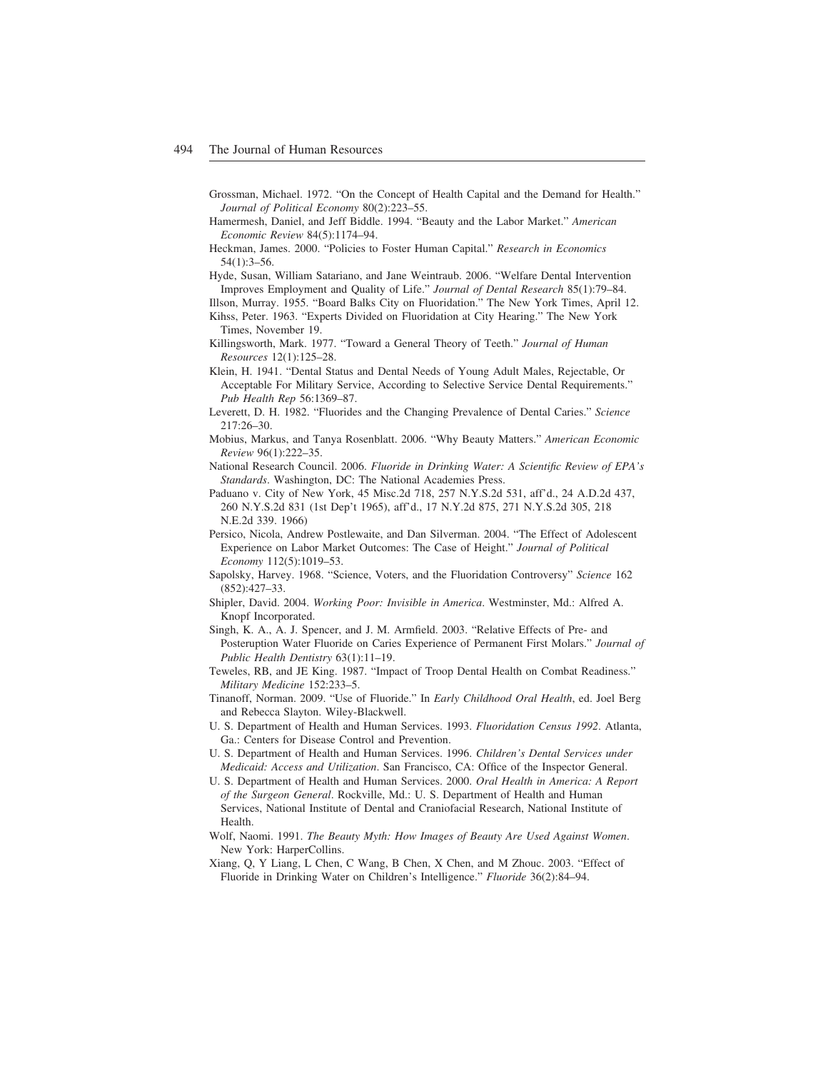- Grossman, Michael. 1972. "On the Concept of Health Capital and the Demand for Health." *Journal of Political Economy* 80(2):223–55.
- Hamermesh, Daniel, and Jeff Biddle. 1994. "Beauty and the Labor Market." *American Economic Review* 84(5):1174–94.
- Heckman, James. 2000. "Policies to Foster Human Capital." *Research in Economics* 54(1):3–56.
- Hyde, Susan, William Satariano, and Jane Weintraub. 2006. "Welfare Dental Intervention Improves Employment and Quality of Life." *Journal of Dental Research* 85(1):79–84.
- Illson, Murray. 1955. "Board Balks City on Fluoridation." The New York Times, April 12. Kihss, Peter. 1963. "Experts Divided on Fluoridation at City Hearing." The New York Times, November 19.
- Killingsworth, Mark. 1977. "Toward a General Theory of Teeth." *Journal of Human Resources* 12(1):125–28.
- Klein, H. 1941. "Dental Status and Dental Needs of Young Adult Males, Rejectable, Or Acceptable For Military Service, According to Selective Service Dental Requirements." *Pub Health Rep* 56:1369–87.
- Leverett, D. H. 1982. "Fluorides and the Changing Prevalence of Dental Caries." *Science* 217:26–30.
- Mobius, Markus, and Tanya Rosenblatt. 2006. "Why Beauty Matters." *American Economic Review* 96(1):222–35.
- National Research Council. 2006. *Fluoride in Drinking Water: A Scientific Review of EPA's Standards*. Washington, DC: The National Academies Press.
- Paduano v. City of New York, 45 Misc.2d 718, 257 N.Y.S.2d 531, aff'd., 24 A.D.2d 437, 260 N.Y.S.2d 831 (1st Dep't 1965), aff'd., 17 N.Y.2d 875, 271 N.Y.S.2d 305, 218 N.E.2d 339. 1966)
- Persico, Nicola, Andrew Postlewaite, and Dan Silverman. 2004. "The Effect of Adolescent Experience on Labor Market Outcomes: The Case of Height." *Journal of Political Economy* 112(5):1019–53.
- Sapolsky, Harvey. 1968. "Science, Voters, and the Fluoridation Controversy" *Science* 162 (852):427–33.
- Shipler, David. 2004. *Working Poor: Invisible in America*. Westminster, Md.: Alfred A. Knopf Incorporated.
- Singh, K. A., A. J. Spencer, and J. M. Armfield. 2003. "Relative Effects of Pre- and Posteruption Water Fluoride on Caries Experience of Permanent First Molars." *Journal of Public Health Dentistry* 63(1):11–19.
- Teweles, RB, and JE King. 1987. "Impact of Troop Dental Health on Combat Readiness." *Military Medicine* 152:233–5.
- Tinanoff, Norman. 2009. "Use of Fluoride." In *Early Childhood Oral Health*, ed. Joel Berg and Rebecca Slayton. Wiley-Blackwell.
- U. S. Department of Health and Human Services. 1993. *Fluoridation Census 1992*. Atlanta, Ga.: Centers for Disease Control and Prevention.
- U. S. Department of Health and Human Services. 1996. *Children's Dental Services under Medicaid: Access and Utilization*. San Francisco, CA: Office of the Inspector General.
- U. S. Department of Health and Human Services. 2000. *Oral Health in America: A Report of the Surgeon General*. Rockville, Md.: U. S. Department of Health and Human Services, National Institute of Dental and Craniofacial Research, National Institute of Health.
- Wolf, Naomi. 1991. *The Beauty Myth: How Images of Beauty Are Used Against Women*. New York: HarperCollins.
- Xiang, Q, Y Liang, L Chen, C Wang, B Chen, X Chen, and M Zhouc. 2003. "Effect of Fluoride in Drinking Water on Children's Intelligence." *Fluoride* 36(2):84–94.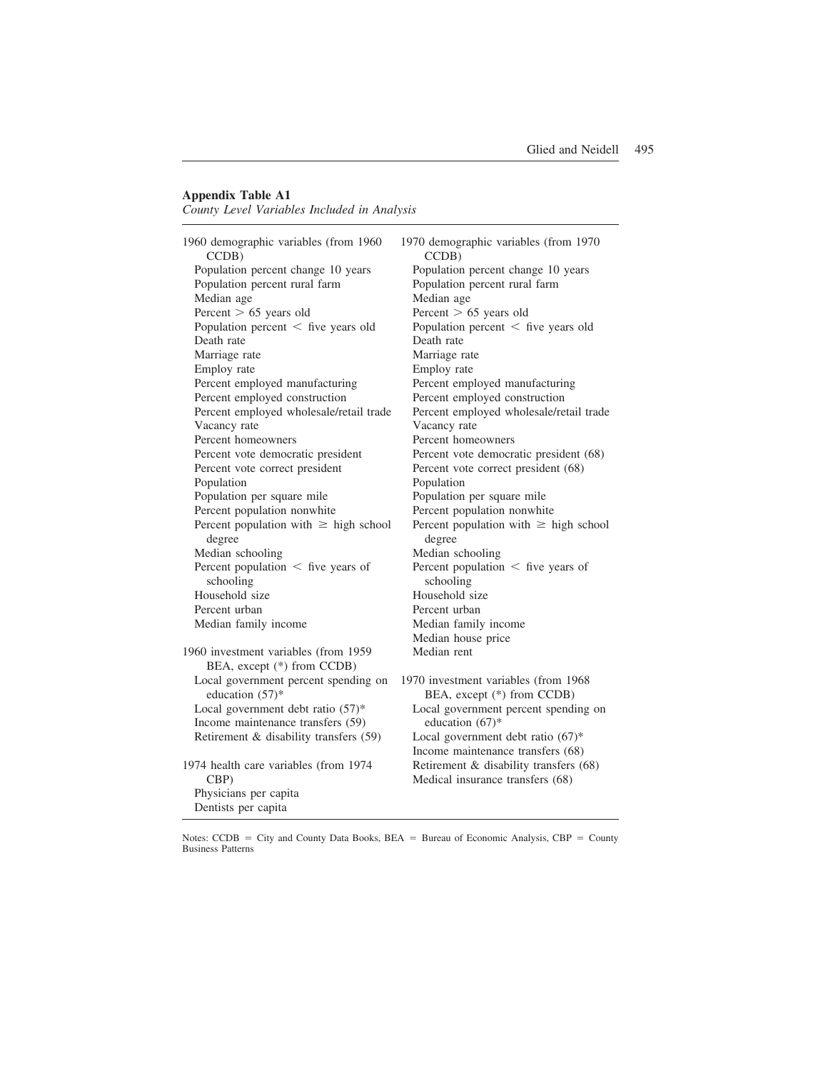#### **Appendix Table A1**

*County Level Variables Included in Analysis*

| 1960 demographic variables (from 1960<br>CCDB)                      | 1970 demographic variables (from 1970<br>CCDB)                      |
|---------------------------------------------------------------------|---------------------------------------------------------------------|
| Population percent change 10 years<br>Population percent rural farm | Population percent change 10 years<br>Population percent rural farm |
| Median age                                                          | Median age                                                          |
| Percent $> 65$ years old                                            | Percent $> 65$ years old                                            |
| Population percent $\langle$ five years old                         | Population percent $\langle$ five years old                         |
| Death rate                                                          | Death rate                                                          |
| Marriage rate                                                       | Marriage rate                                                       |
| Employ rate                                                         | Employ rate                                                         |
| Percent employed manufacturing                                      | Percent employed manufacturing                                      |
| Percent employed construction                                       | Percent employed construction                                       |
| Percent employed wholesale/retail trade                             | Percent employed wholesale/retail trade                             |
| Vacancy rate                                                        | Vacancy rate                                                        |
| Percent homeowners                                                  | Percent homeowners                                                  |
| Percent vote democratic president                                   | Percent vote democratic president (68)                              |
| Percent vote correct president                                      | Percent vote correct president (68)                                 |
| Population                                                          | Population                                                          |
| Population per square mile                                          | Population per square mile                                          |
| Percent population nonwhite                                         | Percent population nonwhite                                         |
| Percent population with $\geq$ high school<br>degree                | Percent population with $\geq$ high school<br>degree                |
| Median schooling                                                    | Median schooling                                                    |
| Percent population $\langle$ five years of<br>schooling             | Percent population $\langle$ five years of<br>schooling             |
| Household size                                                      | Household size                                                      |
| Percent urban                                                       | Percent urban                                                       |
| Median family income                                                | Median family income                                                |
|                                                                     | Median house price                                                  |
| 1960 investment variables (from 1959<br>BEA, except (*) from CCDB)  | Median rent                                                         |
| Local government percent spending on<br>education (57)*             | 1970 investment variables (from 1968)<br>BEA, except (*) from CCDB) |
| Local government debt ratio (57)*                                   | Local government percent spending on                                |
| Income maintenance transfers (59)                                   | education $(67)^*$                                                  |
| Retirement & disability transfers (59)                              | Local government debt ratio $(67)^*$                                |
|                                                                     | Income maintenance transfers (68)                                   |
| 1974 health care variables (from 1974                               | Retirement & disability transfers (68)                              |
| CBP)                                                                | Medical insurance transfers (68)                                    |
| Physicians per capita                                               |                                                                     |
| Dentists per capita                                                 |                                                                     |

Notes: CCDB = City and County Data Books, BEA = Bureau of Economic Analysis, CBP = County Business Patterns